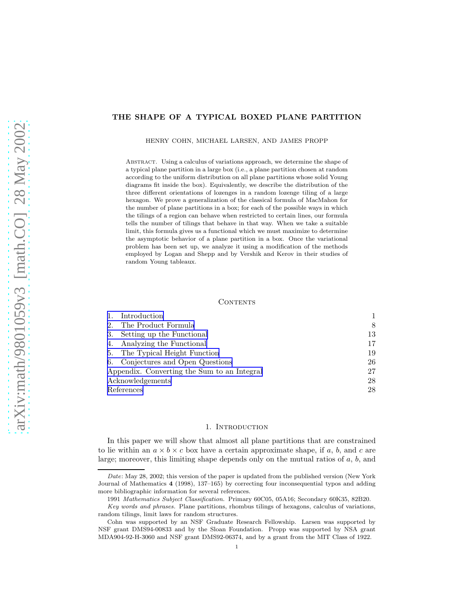# <span id="page-0-0"></span>THE SHAPE OF A TYPICAL BOXED PLANE PARTITION

HENRY COHN, MICHAEL LARSEN, AND JAMES PROPP

Abstract. Using a calculus of variations approach, we determine the shape of a typical plane partition in a large box (i.e., a plane partition chosen at random according to the uniform distribution on all plane partitions whose solid Young diagrams fit inside the box). Equivalently, we describe the distribution of the three different orientations of lozenges in a random lozenge tiling of a large hexagon. We prove a generalization of the classical formula of MacMahon for the number of plane partitions in a box; for each of the possible ways in which the tilings of a region can behave when restricted to certain lines, our formula tells the number of tilings that behave in that way. When we take a suitable limit, this formula gives us a functional which we must maximize to determine the asymptotic behavior of a plane partition in a box. Once the variational problem has been set up, we analyze it using a modification of the methods employed by Logan and Shepp and by Vershik and Kerov in their studies of random Young tableaux.

## CONTENTS

|                                             | Introduction                      |    |
|---------------------------------------------|-----------------------------------|----|
| 2.                                          | The Product Formula               | 8  |
| 3.                                          | Setting up the Functional         | 13 |
| 4.                                          | Analyzing the Functional          | 17 |
|                                             | 5. The Typical Height Function    | 19 |
|                                             | 6. Conjectures and Open Questions | 26 |
| Appendix. Converting the Sum to an Integral |                                   | 27 |
| Acknowledgements                            |                                   | 28 |
| References                                  |                                   | 28 |

#### 1. INTRODUCTION

In this paper we will show that almost all plane partitions that are constrained to lie within an  $a \times b \times c$  box have a certain approximate shape, if a, b, and c are large; moreover, this limiting shape depends only on the mutual ratios of  $a, b$ , and

*Date*: May 28, 2002; this version of the paper is updated from the published version (New York Journal of Mathematics 4 (1998), 137–165) by correcting four inconsequential typos and adding more bibliographic information for several references.

<sup>1991</sup> *Mathematics Subject Classification.* Primary 60C05, 05A16; Secondary 60K35, 82B20.

*Key words and phrases.* Plane partitions, rhombus tilings of hexagons, calculus of variations, random tilings, limit laws for random structures.

Cohn was supported by an NSF Graduate Research Fellowship. Larsen was supported by NSF grant DMS94-00833 and by the Sloan Foundation. Propp was supported by NSA grant MDA904-92-H-3060 and NSF grant DMS92-06374, and by a grant from the MIT Class of 1922.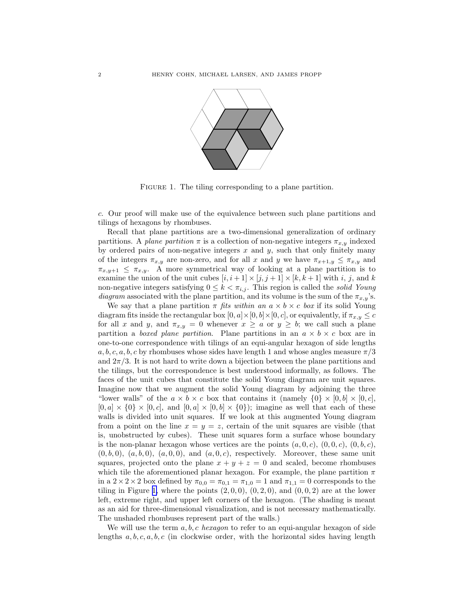<span id="page-1-0"></span>

FIGURE 1. The tiling corresponding to a plane partition.

c. Our proof will make use of the equivalence between such plane partitions and tilings of hexagons by rhombuses.

Recall that plane partitions are a two-dimensional generalization of ordinary partitions. A plane partition  $\pi$  is a collection of non-negative integers  $\pi_{x,y}$  indexed by ordered pairs of non-negative integers  $x$  and  $y$ , such that only finitely many of the integers  $\pi_{x,y}$  are non-zero, and for all x and y we have  $\pi_{x+1,y} \leq \pi_{x,y}$  and  $\pi_{x,y+1} \leq \pi_{x,y}$ . A more symmetrical way of looking at a plane partition is to examine the union of the unit cubes  $[i, i + 1] \times [j, j + 1] \times [k, k + 1]$  with  $i, j$ , and  $k$ non-negative integers satisfying  $0 \leq k < \pi_{i,j}$ . This region is called the *solid Young* diagram associated with the plane partition, and its volume is the sum of the  $\pi_{x,y}$ 's.

We say that a plane partition  $\pi$  fits within an  $a \times b \times c$  box if its solid Young diagram fits inside the rectangular box  $[0, a] \times [0, b] \times [0, c]$ , or equivalently, if  $\pi_{x,y} \leq c$ for all x and y, and  $\pi_{x,y} = 0$  whenever  $x \ge a$  or  $y \ge b$ ; we call such a plane partition a *boxed plane partition*. Plane partitions in an  $a \times b \times c$  box are in one-to-one correspondence with tilings of an equi-angular hexagon of side lengths  $a, b, c, a, b, c$  by rhombuses whose sides have length 1 and whose angles measure  $\pi/3$ and  $2\pi/3$ . It is not hard to write down a bijection between the plane partitions and the tilings, but the correspondence is best understood informally, as follows. The faces of the unit cubes that constitute the solid Young diagram are unit squares. Imagine now that we augment the solid Young diagram by adjoining the three "lower walls" of the  $a \times b \times c$  box that contains it (namely  $\{0\} \times [0, b] \times [0, c]$ ,  $[0, a] \times \{0\} \times [0, c]$ , and  $[0, a] \times [0, b] \times \{0\}$ ; imagine as well that each of these walls is divided into unit squares. If we look at this augmented Young diagram from a point on the line  $x = y = z$ , certain of the unit squares are visible (that is, unobstructed by cubes). These unit squares form a surface whose boundary is the non-planar hexagon whose vertices are the points  $(a, 0, c), (0, 0, c), (0, b, c),$  $(0, b, 0), (a, b, 0), (a, 0, 0),$  and  $(a, 0, c)$ , respectively. Moreover, these same unit squares, projected onto the plane  $x + y + z = 0$  and scaled, become rhombuses which tile the aforementioned planar hexagon. For example, the plane partition  $\pi$ in a  $2 \times 2 \times 2$  box defined by  $\pi_{0,0} = \pi_{0,1} = \pi_{1,0} = 1$  and  $\pi_{1,1} = 0$  corresponds to the tiling in Figure 1, where the points  $(2, 0, 0), (0, 2, 0),$  and  $(0, 0, 2)$  are at the lower left, extreme right, and upper left corners of the hexagon. (The shading is meant as an aid for three-dimensional visualization, and is not necessary mathematically. The unshaded rhombuses represent part of the walls.)

We will use the term  $a, b, c$  hexagon to refer to an equi-angular hexagon of side lengths  $a, b, c, a, b, c$  (in clockwise order, with the horizontal sides having length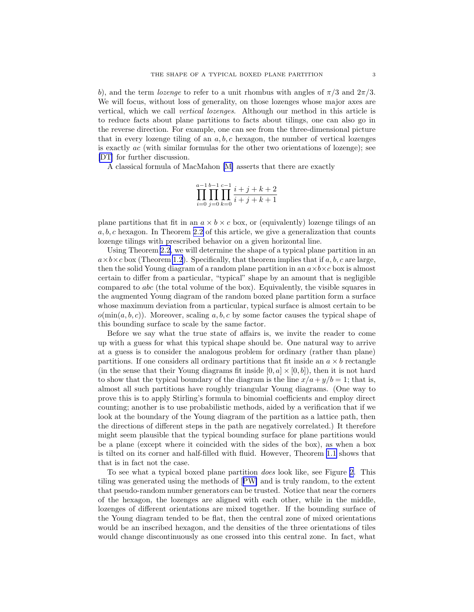b), and the term *lozenge* to refer to a unit rhombus with angles of  $\pi/3$  and  $2\pi/3$ . We will focus, without loss of generality, on those lozenges whose major axes are vertical, which we call vertical lozenges. Although our method in this article is to reduce facts about plane partitions to facts about tilings, one can also go in the reverse direction. For example, one can see from the three-dimensional picture that in every lozenge tiling of an  $a, b, c$  hexagon, the number of vertical lozenges is exactly ac (with similar formulas for the other two orientations of lozenge); see [\[DT](#page-27-0)] for further discussion.

A classical formula of MacMahon [\[M\]](#page-28-0) asserts that there are exactly

$$
\prod_{i=0}^{a-1} \prod_{j=0}^{b-1} \prod_{k=0}^{c-1} \frac{i+j+k+2}{i+j+k+1}
$$

plane partitions that fit in an  $a \times b \times c$  box, or (equivalently) lozenge tilings of an  $a, b, c$  hexagon. In Theorem [2.2](#page-11-0) of this article, we give a generalization that counts lozenge tilings with prescribed behavior on a given horizontal line.

Using Theorem [2.2](#page-11-0), we will determine the shape of a typical plane partition in an  $a \times b \times c$  box (Theorem [1.2](#page-6-0)). Specifically, that theorem implies that if a, b, c are large, then the solid Young diagram of a random plane partition in an  $a \times b \times c$  box is almost certain to differ from a particular, "typical" shape by an amount that is negligible compared to abc (the total volume of the box). Equivalently, the visible squares in the augmented Young diagram of the random boxed plane partition form a surface whose maximum deviation from a particular, typical surface is almost certain to be  $o(\min(a, b, c))$ . Moreover, scaling a, b, c by some factor causes the typical shape of this bounding surface to scale by the same factor.

Before we say what the true state of affairs is, we invite the reader to come up with a guess for what this typical shape should be. One natural way to arrive at a guess is to consider the analogous problem for ordinary (rather than plane) partitions. If one considers all ordinary partitions that fit inside an  $a \times b$  rectangle (in the sense that their Young diagrams fit inside  $[0, a] \times [0, b]$ ), then it is not hard to show that the typical boundary of the diagram is the line  $x/a + y/b = 1$ ; that is, almost all such partitions have roughly triangular Young diagrams. (One way to prove this is to apply Stirling's formula to binomial coefficients and employ direct counting; another is to use probabilistic methods, aided by a verification that if we look at the boundary of the Young diagram of the partition as a lattice path, then the directions of different steps in the path are negatively correlated.) It therefore might seem plausible that the typical bounding surface for plane partitions would be a plane (except where it coincided with the sides of the box), as when a box is tilted on its corner and half-filled with fluid. However, Theorem [1.1](#page-4-0) shows that that is in fact not the case.

To see what a typical boxed plane partition does look like, see Figure [2.](#page-3-0) This tiling was generated using the methods of[[PW\]](#page-28-0) and is truly random, to the extent that pseudo-random number generators can be trusted. Notice that near the corners of the hexagon, the lozenges are aligned with each other, while in the middle, lozenges of different orientations are mixed together. If the bounding surface of the Young diagram tended to be flat, then the central zone of mixed orientations would be an inscribed hexagon, and the densities of the three orientations of tiles would change discontinuously as one crossed into this central zone. In fact, what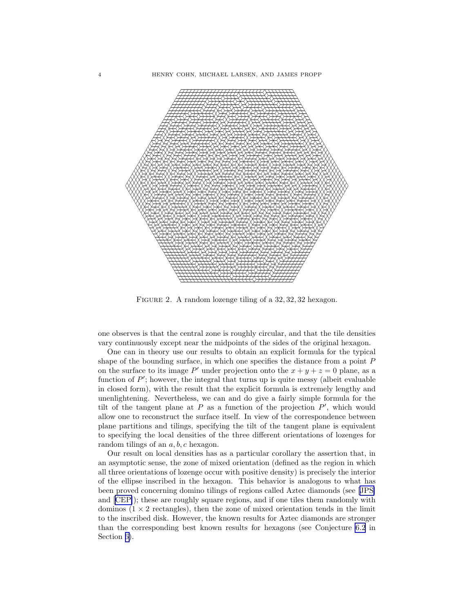<span id="page-3-0"></span>

FIGURE 2. A random lozenge tiling of a 32, 32, 32 hexagon.

one observes is that the central zone is roughly circular, and that the tile densities vary continuously except near the midpoints of the sides of the original hexagon.

One can in theory use our results to obtain an explicit formula for the typical shape of the bounding surface, in which one specifies the distance from a point  $P$ on the surface to its image P' under projection onto the  $x + y + z = 0$  plane, as a function of  $P'$ ; however, the integral that turns up is quite messy (albeit evaluable in closed form), with the result that the explicit formula is extremely lengthy and unenlightening. Nevertheless, we can and do give a fairly simple formula for the tilt of the tangent plane at  $P$  as a function of the projection  $P'$ , which would allow one to reconstruct the surface itself. In view of the correspondence between plane partitions and tilings, specifying the tilt of the tangent plane is equivalent to specifying the local densities of the three different orientations of lozenges for random tilings of an a, b, c hexagon.

Our result on local densities has as a particular corollary the assertion that, in an asymptotic sense, the zone of mixed orientation (defined as the region in which all three orientations of lozenge occur with positive density) is precisely the interior of the ellipse inscribed in the hexagon. This behavior is analogous to what has been proved concerning domino tilings of regions called Aztec diamonds (see [\[JPS\]](#page-28-0) and[[CEP\]](#page-27-0)); these are roughly square regions, and if one tiles them randomly with dominos  $(1 \times 2$  rectangles), then the zone of mixed orientation tends in the limit to the inscribed disk. However, the known results for Aztec diamonds are stronger than the corresponding best known results for hexagons (see Conjecture [6.2](#page-25-0) in Section [6\)](#page-25-0).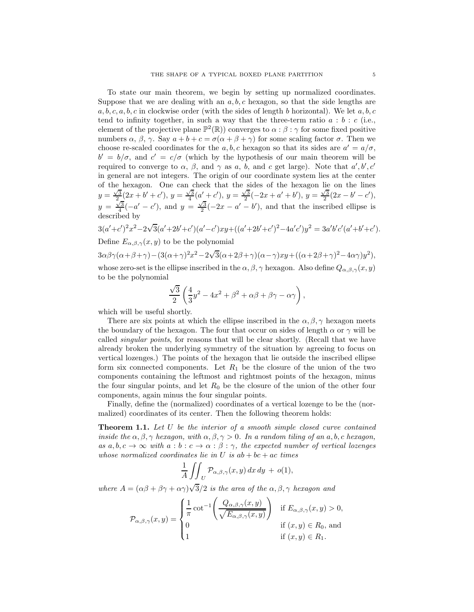<span id="page-4-0"></span>To state our main theorem, we begin by setting up normalized coordinates. Suppose that we are dealing with an  $a, b, c$  hexagon, so that the side lengths are  $a, b, c, a, b, c$  in clockwise order (with the sides of length b horizontal). We let  $a, b, c$ tend to infinity together, in such a way that the three-term ratio  $a : b : c$  (i.e., element of the projective plane  $\mathbb{P}^2(\mathbb{R})$  converges to  $\alpha : \beta : \gamma$  for some fixed positive numbers  $\alpha$ ,  $\beta$ ,  $\gamma$ . Say  $a + b + c = \sigma(\alpha + \beta + \gamma)$  for some scaling factor  $\sigma$ . Then we choose re-scaled coordinates for the  $a, b, c$  hexagon so that its sides are  $a' = a/\sigma$ ,  $b' = b/\sigma$ , and  $c' = c/\sigma$  (which by the hypothesis of our main theorem will be required to converge to  $\alpha$ ,  $\beta$ , and  $\gamma$  as a, b, and c get large). Note that  $a', b', c'$ in general are not integers. The origin of our coordinate system lies at the center of the hexagon. One can check that the sides of the hexagon lie on the lines  $y = \frac{\sqrt{3}}{2}(2x + b' + c'), y = \frac{\sqrt{3}}{4}(a' + c'), y = \frac{\sqrt{3}}{2}(-2x + a' + b'), y = \frac{\sqrt{3}}{2}(2x - b' - c'),$  $y = \frac{\sqrt{3}}{4}(-a' - c')$ , and  $y = \frac{\sqrt{3}}{2}(-2x - a' - b')$ , and that the inscribed ellipse is described by

 $3(a'+c')^2x^2-2\sqrt{3}(a'+2b'+c')(a'-c')xy+((a'+2b'+c')^2-4a'c')y^2=3a'b'c'(a'+b'+c').$ Define  $E_{\alpha,\beta,\gamma}(x,y)$  to be the polynomial

 $3\alpha\beta\gamma(\alpha+\beta+\gamma) - (3(\alpha+\gamma)^2x^2 - 2\sqrt{3}(\alpha+2\beta+\gamma)(\alpha-\gamma)xy + ((\alpha+2\beta+\gamma)^2-4\alpha\gamma)y^2),$ 

whose zero-set is the ellipse inscribed in the  $\alpha, \beta, \gamma$  hexagon. Also define  $Q_{\alpha,\beta,\gamma}(x, y)$ to be the polynomial

$$
\frac{\sqrt{3}}{2}\left(\frac{4}{3}y^2 - 4x^2 + \beta^2 + \alpha\beta + \beta\gamma - \alpha\gamma\right),\,
$$

which will be useful shortly.

There are six points at which the ellipse inscribed in the  $\alpha, \beta, \gamma$  hexagon meets the boundary of the hexagon. The four that occur on sides of length  $\alpha$  or  $\gamma$  will be called singular points, for reasons that will be clear shortly. (Recall that we have already broken the underlying symmetry of the situation by agreeing to focus on vertical lozenges.) The points of the hexagon that lie outside the inscribed ellipse form six connected components. Let  $R_1$  be the closure of the union of the two components containing the leftmost and rightmost points of the hexagon, minus the four singular points, and let  $R_0$  be the closure of the union of the other four components, again minus the four singular points.

Finally, define the (normalized) coordinates of a vertical lozenge to be the (normalized) coordinates of its center. Then the following theorem holds:

**Theorem 1.1.** Let U be the interior of a smooth simple closed curve contained inside the  $\alpha, \beta, \gamma$  hexagon, with  $\alpha, \beta, \gamma > 0$ . In a random tiling of an a, b, c hexagon, as  $a, b, c \rightarrow \infty$  with  $a : b : c \rightarrow \alpha : \beta : \gamma$ , the expected number of vertical lozenges whose normalized coordinates lie in U is  $ab + bc + ac$  times

$$
\frac{1}{A} \iint_U \mathcal{P}_{\alpha,\beta,\gamma}(x,y) \, dx \, dy + o(1),
$$

where  $A = (\alpha\beta + \beta\gamma + \alpha\gamma)\sqrt{3}/2$  is the area of the  $\alpha, \beta, \gamma$  hexagon and

$$
\mathcal{P}_{\alpha,\beta,\gamma}(x,y) = \begin{cases} \frac{1}{\pi} \cot^{-1} \left( \frac{Q_{\alpha,\beta,\gamma}(x,y)}{\sqrt{E_{\alpha,\beta,\gamma}(x,y)}} \right) & \text{if } E_{\alpha,\beta,\gamma}(x,y) > 0, \\ 0 & \text{if } (x,y) \in R_0, \text{ and} \\ 1 & \text{if } (x,y) \in R_1. \end{cases}
$$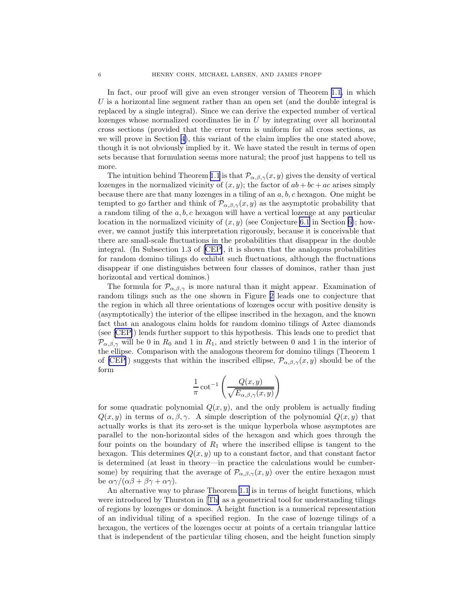In fact, our proof will give an even stronger version of Theorem [1.1,](#page-4-0) in which  $U$  is a horizontal line segment rather than an open set (and the double integral is replaced by a single integral). Since we can derive the expected number of vertical lozenges whose normalized coordinates lie in  $U$  by integrating over all horizontal cross sections (provided that the error term is uniform for all cross sections, as we will prove in Section [4](#page-16-0)), this variant of the claim implies the one stated above, though it is not obviously implied by it. We have stated the result in terms of open sets because that formulation seems more natural; the proof just happens to tell us more.

The intuition behind Theorem [1.1](#page-4-0) is that  $\mathcal{P}_{\alpha,\beta,\gamma}(x,y)$  gives the density of vertical lozenges in the normalized vicinity of  $(x, y)$ ; the factor of  $ab + bc + ac$  arises simply because there are that many lozenges in a tiling of an  $a, b, c$  hexagon. One might be tempted to go farther and think of  $\mathcal{P}_{\alpha,\beta,\gamma}(x,y)$  as the asymptotic probability that a random tiling of the  $a, b, c$  hexagon will have a vertical lozenge at any particular location in the normalized vicinity of  $(x, y)$  (see Conjecture [6.1](#page-25-0) in Section [6\)](#page-25-0); however, we cannot justify this interpretation rigorously, because it is conceivable that there are small-scale fluctuations in the probabilities that disappear in the double integral. (In Subsection 1.3 of [\[CEP\]](#page-27-0), it is shown that the analogous probabilities for random domino tilings do exhibit such fluctuations, although the fluctuations disappear if one distinguishes between four classes of dominos, rather than just horizontal and vertical dominos.)

The formula for  $\mathcal{P}_{\alpha,\beta,\gamma}$  is more natural than it might appear. Examination of random tilings such as the one shown in Figure [2](#page-3-0) leads one to conjecture that the region in which all three orientations of lozenges occur with positive density is (asymptotically) the interior of the ellipse inscribed in the hexagon, and the known fact that an analogous claim holds for random domino tilings of Aztec diamonds (see[[CEP\]](#page-27-0)) lends further support to this hypothesis. This leads one to predict that  $\mathcal{P}_{\alpha,\beta,\gamma}$  will be 0 in  $R_0$  and 1 in  $R_1$ , and strictly between 0 and 1 in the interior of the ellipse. Comparison with the analogous theorem for domino tilings (Theorem 1 of [\[CEP](#page-27-0)]) suggests that within the inscribed ellipse,  $\mathcal{P}_{\alpha,\beta,\gamma}(x,y)$  should be of the form

$$
\frac{1}{\pi} \cot^{-1} \left( \frac{Q(x, y)}{\sqrt{E_{\alpha, \beta, \gamma}(x, y)}} \right)
$$

for some quadratic polynomial  $Q(x, y)$ , and the only problem is actually finding  $Q(x, y)$  in terms of  $\alpha, \beta, \gamma$ . A simple description of the polynomial  $Q(x, y)$  that actually works is that its zero-set is the unique hyperbola whose asymptotes are parallel to the non-horizontal sides of the hexagon and which goes through the four points on the boundary of  $R_1$  where the inscribed ellipse is tangent to the hexagon. This determines  $Q(x, y)$  up to a constant factor, and that constant factor is determined (at least in theory—in practice the calculations would be cumbersome) by requiring that the average of  $\mathcal{P}_{\alpha,\beta,\gamma}(x,y)$  over the entire hexagon must be  $\alpha\gamma/(\alpha\beta+\beta\gamma+\alpha\gamma)$ .

An alternative way to phrase Theorem [1.1](#page-4-0) is in terms of height functions, which were introduced by Thurston in[[Th\]](#page-28-0) as a geometrical tool for understanding tilings of regions by lozenges or dominos. A height function is a numerical representation of an individual tiling of a specified region. In the case of lozenge tilings of a hexagon, the vertices of the lozenges occur at points of a certain triangular lattice that is independent of the particular tiling chosen, and the height function simply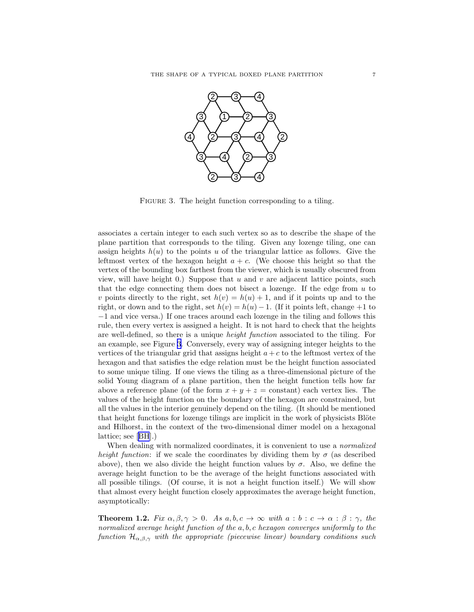<span id="page-6-0"></span>

FIGURE 3. The height function corresponding to a tiling.

associates a certain integer to each such vertex so as to describe the shape of the plane partition that corresponds to the tiling. Given any lozenge tiling, one can assign heights  $h(u)$  to the points u of the triangular lattice as follows. Give the leftmost vertex of the hexagon height  $a + c$ . (We choose this height so that the vertex of the bounding box farthest from the viewer, which is usually obscured from view, will have height 0.) Suppose that  $u$  and  $v$  are adjacent lattice points, such that the edge connecting them does not bisect a lozenge. If the edge from  $u$  to v points directly to the right, set  $h(v) = h(u) + 1$ , and if it points up and to the right, or down and to the right, set  $h(v) = h(u) - 1$ . (If it points left, change +1 to −1 and vice versa.) If one traces around each lozenge in the tiling and follows this rule, then every vertex is assigned a height. It is not hard to check that the heights are well-defined, so there is a unique height function associated to the tiling. For an example, see Figure 3. Conversely, every way of assigning integer heights to the vertices of the triangular grid that assigns height  $a + c$  to the leftmost vertex of the hexagon and that satisfies the edge relation must be the height function associated to some unique tiling. If one views the tiling as a three-dimensional picture of the solid Young diagram of a plane partition, then the height function tells how far above a reference plane (of the form  $x + y + z = constant$ ) each vertex lies. The values of the height function on the boundary of the hexagon are constrained, but all the values in the interior genuinely depend on the tiling. (It should be mentioned that height functions for lozenge tilings are implicit in the work of physicists Blöte and Hilhorst, in the context of the two-dimensional dimer model on a hexagonal lattice; see[[BH](#page-27-0)].)

When dealing with normalized coordinates, it is convenient to use a *normalized* height function: if we scale the coordinates by dividing them by  $\sigma$  (as described above), then we also divide the height function values by  $\sigma$ . Also, we define the average height function to be the average of the height functions associated with all possible tilings. (Of course, it is not a height function itself.) We will show that almost every height function closely approximates the average height function, asymptotically:

**Theorem 1.2.** Fix  $\alpha, \beta, \gamma > 0$ . As  $a, b, c \rightarrow \infty$  with  $a : b : c \rightarrow \alpha : \beta : \gamma$ , the normalized average height function of the a, b, c hexagon converges uniformly to the function  $\mathcal{H}_{\alpha,\beta,\gamma}$  with the appropriate (piecewise linear) boundary conditions such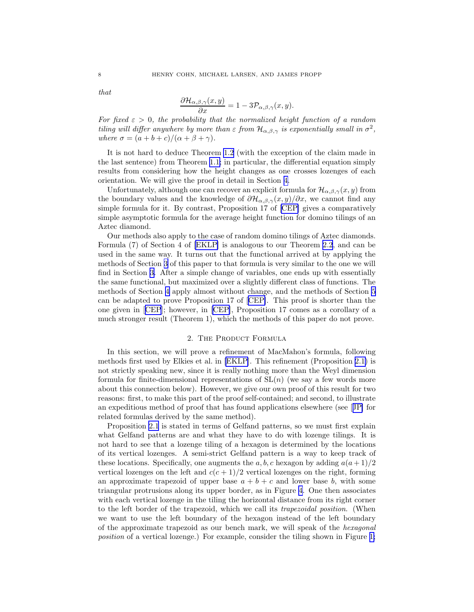<span id="page-7-0"></span>that

$$
\frac{\partial \mathcal{H}_{\alpha,\beta,\gamma}(x,y)}{\partial x} = 1 - 3\mathcal{P}_{\alpha,\beta,\gamma}(x,y).
$$

For fixed  $\varepsilon > 0$ , the probability that the normalized height function of a random tiling will differ anywhere by more than  $\varepsilon$  from  $\mathcal{H}_{\alpha,\beta,\gamma}$  is exponentially small in  $\sigma^2$ , where  $\sigma = (a+b+c)/(\alpha+\beta+\gamma)$ .

It is not hard to deduce Theorem [1.2](#page-6-0) (with the exception of the claim made in the last sentence) from Theorem [1.1;](#page-4-0) in particular, the differential equation simply results from considering how the height changes as one crosses lozenges of each orientation. We will give the proof in detail in Section [4.](#page-16-0)

Unfortunately, although one can recover an explicit formula for  $\mathcal{H}_{\alpha,\beta,\gamma}(x,y)$  from the boundary values and the knowledge of  $\partial \mathcal{H}_{\alpha,\beta,\gamma}(x,y)/\partial x$ , we cannot find any simple formula for it. By contrast, Proposition 17 of[[CEP\]](#page-27-0) gives a comparatively simple asymptotic formula for the average height function for domino tilings of an Aztec diamond.

Our methods also apply to the case of random domino tilings of Aztec diamonds. Formula (7) of Section 4 of [\[EKLP\]](#page-27-0) is analogous to our Theorem [2.2](#page-11-0), and can be used in the same way. It turns out that the functional arrived at by applying the methods of Section [3](#page-12-0) of this paper to that formula is very similar to the one we will find in Section [3.](#page-12-0) After a simple change of variables, one ends up with essentially the same functional, but maximized over a slightly different class of functions. The methods of Section [4](#page-16-0) apply almost without change, and the methods of Section [5](#page-18-0) can be adapted to prove Proposition 17 of[[CEP\]](#page-27-0). This proof is shorter than the one given in[[CEP](#page-27-0)]; however, in [\[CEP](#page-27-0)], Proposition 17 comes as a corollary of a much stronger result (Theorem 1), which the methods of this paper do not prove.

#### 2. The Product Formula

In this section, we will prove a refinement of MacMahon's formula, following methods first used by Elkies et al. in [\[EKLP\]](#page-27-0). This refinement (Proposition [2.1\)](#page-9-0) is not strictly speaking new, since it is really nothing more than the Weyl dimension formula for finite-dimensional representations of  $SL(n)$  (we say a few words more about this connection below). However, we give our own proof of this result for two reasons: first, to make this part of the proof self-contained; and second, to illustrate an expeditious method of proof that has found applications elsewhere (see[[JP\]](#page-28-0) for related formulas derived by the same method).

Proposition [2.1](#page-9-0) is stated in terms of Gelfand patterns, so we must first explain what Gelfand patterns are and what they have to do with lozenge tilings. It is not hard to see that a lozenge tiling of a hexagon is determined by the locations of its vertical lozenges. A semi-strict Gelfand pattern is a way to keep track of these locations. Specifically, one augments the a, b, c hexagon by adding  $a(a+1)/2$ vertical lozenges on the left and  $c(c+1)/2$  vertical lozenges on the right, forming an approximate trapezoid of upper base  $a + b + c$  and lower base b, with some triangular protrusions along its upper border, as in Figure [4](#page-8-0). One then associates with each vertical lozenge in the tiling the horizontal distance from its right corner to the left border of the trapezoid, which we call its trapezoidal position. (When we want to use the left boundary of the hexagon instead of the left boundary of the approximate trapezoid as our bench mark, we will speak of the hexagonal position of a vertical lozenge.) For example, consider the tiling shown in Figure [1;](#page-1-0)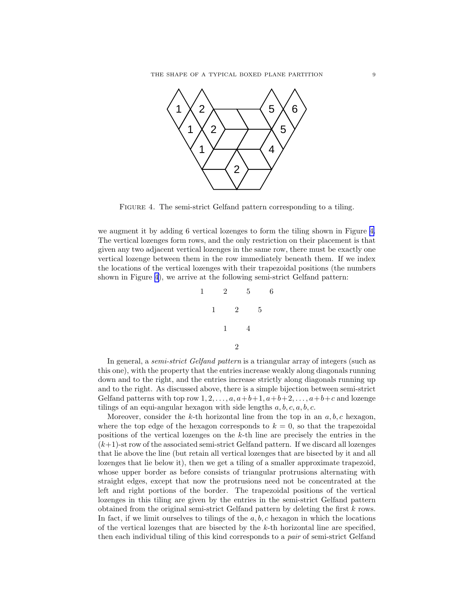<span id="page-8-0"></span>

FIGURE 4. The semi-strict Gelfand pattern corresponding to a tiling.

we augment it by adding 6 vertical lozenges to form the tiling shown in Figure 4. The vertical lozenges form rows, and the only restriction on their placement is that given any two adjacent vertical lozenges in the same row, there must be exactly one vertical lozenge between them in the row immediately beneath them. If we index the locations of the vertical lozenges with their trapezoidal positions (the numbers shown in Figure 4), we arrive at the following semi-strict Gelfand pattern:

$$
\begin{array}{cccc}\n1 & 2 & 5 & 6 \\
1 & 2 & 5 \\
1 & 4 & \\
2\n\end{array}
$$

In general, a *semi-strict Gelfand pattern* is a triangular array of integers (such as this one), with the property that the entries increase weakly along diagonals running down and to the right, and the entries increase strictly along diagonals running up and to the right. As discussed above, there is a simple bijection between semi-strict Gelfand patterns with top row  $1, 2, \ldots, a, a+b+1, a+b+2, \ldots, a+b+c$  and lozenge tilings of an equi-angular hexagon with side lengths  $a, b, c, a, b, c$ .

Moreover, consider the k-th horizontal line from the top in an  $a, b, c$  hexagon, where the top edge of the hexagon corresponds to  $k = 0$ , so that the trapezoidal positions of the vertical lozenges on the k-th line are precisely the entries in the  $(k+1)$ -st row of the associated semi-strict Gelfand pattern. If we discard all lozenges that lie above the line (but retain all vertical lozenges that are bisected by it and all lozenges that lie below it), then we get a tiling of a smaller approximate trapezoid, whose upper border as before consists of triangular protrusions alternating with straight edges, except that now the protrusions need not be concentrated at the left and right portions of the border. The trapezoidal positions of the vertical lozenges in this tiling are given by the entries in the semi-strict Gelfand pattern obtained from the original semi-strict Gelfand pattern by deleting the first k rows. In fact, if we limit ourselves to tilings of the  $a, b, c$  hexagon in which the locations of the vertical lozenges that are bisected by the k-th horizontal line are specified, then each individual tiling of this kind corresponds to a pair of semi-strict Gelfand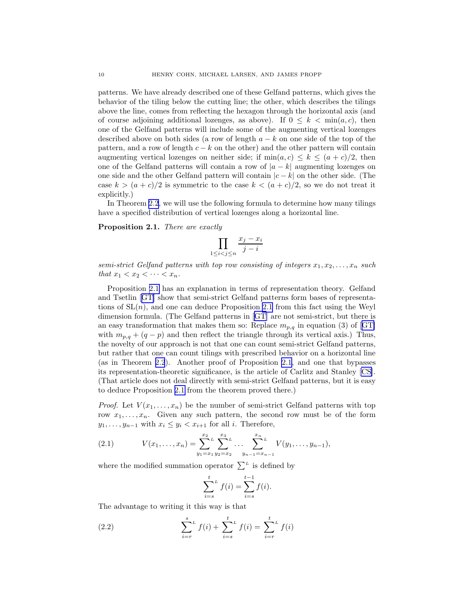<span id="page-9-0"></span>patterns. We have already described one of these Gelfand patterns, which gives the behavior of the tiling below the cutting line; the other, which describes the tilings above the line, comes from reflecting the hexagon through the horizontal axis (and of course adjoining additional lozenges, as above). If  $0 \leq k \leq \min(a, c)$ , then one of the Gelfand patterns will include some of the augmenting vertical lozenges described above on both sides (a row of length  $a - k$  on one side of the top of the pattern, and a row of length  $c - k$  on the other) and the other pattern will contain augmenting vertical lozenges on neither side; if  $min(a, c) \le k \le (a + c)/2$ , then one of the Gelfand patterns will contain a row of  $|a - k|$  augmenting lozenges on one side and the other Gelfand pattern will contain  $|c - k|$  on the other side. (The case  $k > (a + c)/2$  is symmetric to the case  $k < (a + c)/2$ , so we do not treat it explicitly.)

In Theorem [2.2](#page-11-0), we will use the following formula to determine how many tilings have a specified distribution of vertical lozenges along a horizontal line.

Proposition 2.1. There are exactly

$$
\prod_{1 \le i < j \le n} \frac{x_j - x_i}{j - i}
$$

semi-strict Gelfand patterns with top row consisting of integers  $x_1, x_2, \ldots, x_n$  such that  $x_1 < x_2 < \cdots < x_n$ .

Proposition 2.1 has an explanation in terms of representation theory. Gelfand and Tsetlin[[GT\]](#page-28-0) show that semi-strict Gelfand patterns form bases of representations of  $SL(n)$ , and one can deduce Proposition 2.1 from this fact using the Weyl dimension formula. (The Gelfand patterns in[[GT\]](#page-28-0) are not semi-strict, but there is aneasy transformation that makes them so: Replace  $m_{p,q}$  in equation (3) of [[GT\]](#page-28-0) with  $m_{p,q} + (q - p)$  and then reflect the triangle through its vertical axis.) Thus, the novelty of our approach is not that one can count semi-strict Gelfand patterns, but rather that one can count tilings with prescribed behavior on a horizontal line (as in Theorem [2.2](#page-11-0)). Another proof of Proposition 2.1, and one that bypasses its representation-theoretic significance, is the article of Carlitz and Stanley [\[CS\]](#page-27-0). (That article does not deal directly with semi-strict Gelfand patterns, but it is easy to deduce Proposition 2.1 from the theorem proved there.)

*Proof.* Let  $V(x_1, \ldots, x_n)$  be the number of semi-strict Gelfand patterns with top row  $x_1, \ldots, x_n$ . Given any such pattern, the second row must be of the form  $y_1, \ldots, y_{n-1}$  with  $x_i \leq y_i < x_{i+1}$  for all *i*. Therefore,

(2.1) 
$$
V(x_1,...,x_n) = \sum_{y_1=x_1}^{x_2} \sum_{y_2=x_2}^{x_3} \dots \sum_{y_{n-1}=x_{n-1}}^{x_n} V(y_1,...,y_{n-1}),
$$

where the modified summation operator  $\sum^L$  is defined by

$$
\sum_{i=s}^{t} f(i) = \sum_{i=s}^{t-1} f(i).
$$

The advantage to writing it this way is that

(2.2) 
$$
\sum_{i=r}^{s} f(i) + \sum_{i=s}^{t} f(i) = \sum_{i=r}^{t} f(i)
$$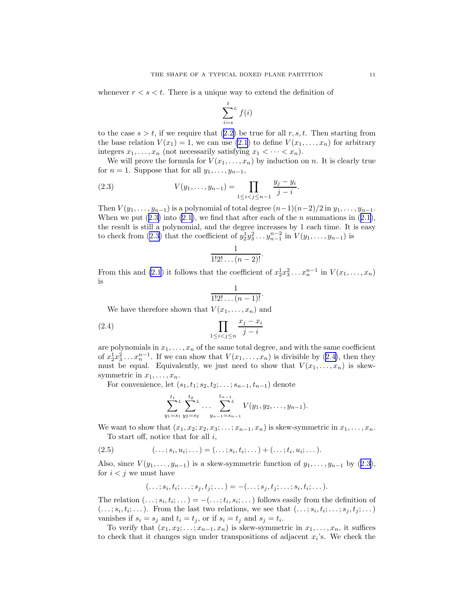<span id="page-10-0"></span>whenever  $r < s < t$ . There is a unique way to extend the definition of

$$
\sum_{i=s}^{t} f(i)
$$

tothe case  $s > t$ , if we require that ([2.2\)](#page-9-0) be true for all r, s, t. Then starting from the base relation  $V(x_1) = 1$ , we can use [\(2.1](#page-9-0)) to define  $V(x_1, \ldots, x_n)$  for arbitrary integers  $x_1, \ldots, x_n$  (not necessarily satisfying  $x_1 < \cdots < x_n$ ).

We will prove the formula for  $V(x_1, \ldots, x_n)$  by induction on n. It is clearly true for  $n = 1$ . Suppose that for all  $y_1, \ldots, y_{n-1}$ ,

(2.3) 
$$
V(y_1, \ldots, y_{n-1}) = \prod_{1 \leq i < j \leq n-1} \frac{y_j - y_i}{j - i}.
$$

Then  $V(y_1, \ldots, y_{n-1})$  is a polynomial of total degree  $(n-1)(n-2)/2$  in  $y_1, \ldots, y_{n-1}$ . Whenwe put  $(2.3)$  into  $(2.1)$  $(2.1)$ , we find that after each of the *n* summations in  $(2.1)$ , the result is still a polynomial, and the degree increases by 1 each time. It is easy to check from (2.3) that the coefficient of  $y_2^1 y_3^2 \dots y_{n-1}^{n-2}$  in  $V(y_1, \dots, y_{n-1})$  is

$$
\frac{1}{1!2!\dots(n-2)!}.
$$

From this and [\(2.1](#page-9-0)) it follows that the coefficient of  $x_2^1 x_3^2 \dots x_n^{n-1}$  in  $V(x_1, \dots, x_n)$ is

$$
\frac{1}{1!2!\dots(n-1)!}.
$$

We have therefore shown that  $V(x_1, \ldots, x_n)$  and

$$
\prod_{1 \le i < j \le n} \frac{x_j - x_i}{j - i}
$$

are polynomials in  $x_1, \ldots, x_n$  of the same total degree, and with the same coefficient of  $x_2^1 x_3^2 \ldots x_n^{n-1}$ . If we can show that  $V(x_1, \ldots, x_n)$  is divisible by  $(2.4)$ , then they must be equal. Equivalently, we just need to show that  $V(x_1, \ldots, x_n)$  is skewsymmetric in  $x_1, \ldots, x_n$ .

For convenience, let  $(s_1, t_1; s_2, t_2; \ldots; s_{n-1}, t_{n-1})$  denote

$$
\sum_{y_1=s_1}^{t_1} \sum_{y_2=s_2}^{t_2} \dots \sum_{y_{n-1}=s_{n-1}}^{t_{n-1}} V(y_1, y_2, \dots, y_{n-1}).
$$

We want to show that  $(x_1, x_2; x_3; \ldots; x_{n-1}, x_n)$  is skew-symmetric in  $x_1, \ldots, x_n$ . To start off, notice that for all  $i$ ,

(2.5) 
$$
(\ldots; s_i, u_i; \ldots) = (\ldots; s_i, t_i; \ldots) + (\ldots; t_i, u_i; \ldots).
$$

Also, since  $V(y_1, \ldots, y_{n-1})$  is a skew-symmetric function of  $y_1, \ldots, y_{n-1}$  by  $(2.3)$ , for  $i < j$  we must have

$$
(\ldots;s_i,t_i;\ldots;s_j,t_j;\ldots) = -(\ldots;s_j,t_j;\ldots;s_i,t_i;\ldots).
$$

The relation  $(\ldots; s_i, t_i; \ldots) = -(\ldots; t_i, s_i; \ldots)$  follows easily from the definition of  $(...;s_i,t_i;...)$ . From the last two relations, we see that  $(...;s_i,t_i;...;s_j,t_j;...)$ vanishes if  $s_i = s_j$  and  $t_i = t_j$ , or if  $s_i = t_j$  and  $s_j = t_i$ .

To verify that  $(x_1, x_2; \ldots; x_{n-1}, x_n)$  is skew-symmetric in  $x_1, \ldots, x_n$ , it suffices to check that it changes sign under transpositions of adjacent  $x_i$ 's. We check the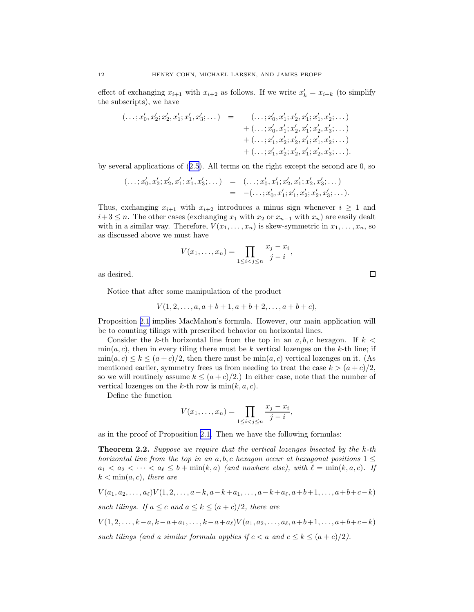<span id="page-11-0"></span>effect of exchanging  $x_{i+1}$  with  $x_{i+2}$  as follows. If we write  $x'_{k} = x_{i+k}$  (to simplify the subscripts), we have

$$
(\ldots; x'_0, x'_2; x'_2, x'_1; x'_1, x'_3; \ldots) = (\ldots; x'_0, x'_1; x'_2, x'_1; x'_1, x'_2; \ldots) + (\ldots; x'_0, x'_1; x'_2, x'_1; x'_2, x'_3; \ldots) + (\ldots; x'_1, x'_2; x'_2, x'_1; x'_1, x'_2; \ldots) + (\ldots; x'_1, x'_2; x'_2, x'_1; x'_2, x'_3; \ldots).
$$

by several applications of([2.5](#page-10-0)). All terms on the right except the second are 0, so

$$
(\ldots; x'_0, x'_2; x'_2, x'_1; x'_1, x'_3; \ldots) = (\ldots; x'_0, x'_1; x'_2, x'_1; x'_2, x'_3; \ldots)
$$
  
= -(\ldots; x'\_0, x'\_1; x'\_1, x'\_2; x'\_2, x'\_3; \ldots).

Thus, exchanging  $x_{i+1}$  with  $x_{i+2}$  introduces a minus sign whenever  $i \geq 1$  and  $i+3 \leq n$ . The other cases (exchanging  $x_1$  with  $x_2$  or  $x_{n-1}$  with  $x_n$ ) are easily dealt with in a similar way. Therefore,  $V(x_1, \ldots, x_n)$  is skew-symmetric in  $x_1, \ldots, x_n$ , so as discussed above we must have

$$
V(x_1,...,x_n) = \prod_{1 \le i < j \le n} \frac{x_j - x_i}{j - i},
$$

as desired.

Notice that after some manipulation of the product

$$
V(1,2,\ldots,a,a+b+1,a+b+2,\ldots,a+b+c),
$$

Proposition [2.1](#page-9-0) implies MacMahon's formula. However, our main application will be to counting tilings with prescribed behavior on horizontal lines.

Consider the k-th horizontal line from the top in an  $a, b, c$  hexagon. If  $k <$  $\min(a, c)$ , then in every tiling there must be k vertical lozenges on the k-th line; if  $\min(a, c) \le k \le (a+c)/2$ , then there must be  $\min(a, c)$  vertical lozenges on it. (As mentioned earlier, symmetry frees us from needing to treat the case  $k > (a+c)/2$ , so we will routinely assume  $k \leq (a+c)/2$ . In either case, note that the number of vertical lozenges on the k-th row is  $\min(k, a, c)$ .

Define the function

$$
V(x_1,...,x_n) = \prod_{1 \le i < j \le n} \frac{x_j - x_i}{j - i},
$$

as in the proof of Proposition [2.1.](#page-9-0) Then we have the following formulas:

**Theorem 2.2.** Suppose we require that the vertical lozenges bisected by the  $k$ -th horizontal line from the top in an a, b, c hexagon occur at hexagonal positions  $1 \leq$  $a_1 < a_2 < \cdots < a_\ell \leq b + \min(k, a)$  (and nowhere else), with  $\ell = \min(k, a, c)$ . If  $k < \min(a, c)$ , there are

$$
V(a_1, a_2, \ldots, a_\ell) V(1, 2, \ldots, a-k, a-k+a_1, \ldots, a-k+a_\ell, a+b+1, \ldots, a+b+c-k)
$$

such tilings. If  $a \leq c$  and  $a \leq k \leq (a+c)/2$ , there are

 $V(1, 2, \ldots, k-a, k-a+a_1, \ldots, k-a+a_\ell) V(a_1, a_2, \ldots, a_\ell, a+b+1, \ldots, a+b+c-k)$ 

such tilings (and a similar formula applies if  $c < a$  and  $c \leq k \leq (a + c)/2$ ).

 $\Box$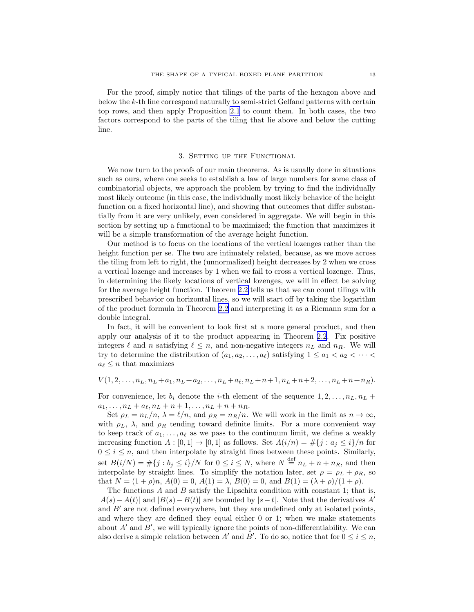<span id="page-12-0"></span>For the proof, simply notice that tilings of the parts of the hexagon above and below the k-th line correspond naturally to semi-strict Gelfand patterns with certain top rows, and then apply Proposition [2.1](#page-9-0) to count them. In both cases, the two factors correspond to the parts of the tiling that lie above and below the cutting line.

# 3. SETTING UP THE FUNCTIONAL

We now turn to the proofs of our main theorems. As is usually done in situations such as ours, where one seeks to establish a law of large numbers for some class of combinatorial objects, we approach the problem by trying to find the individually most likely outcome (in this case, the individually most likely behavior of the height function on a fixed horizontal line), and showing that outcomes that differ substantially from it are very unlikely, even considered in aggregate. We will begin in this section by setting up a functional to be maximized; the function that maximizes it will be a simple transformation of the average height function.

Our method is to focus on the locations of the vertical lozenges rather than the height function per se. The two are intimately related, because, as we move across the tiling from left to right, the (unnormalized) height decreases by 2 when we cross a vertical lozenge and increases by 1 when we fail to cross a vertical lozenge. Thus, in determining the likely locations of vertical lozenges, we will in effect be solving for the average height function. Theorem [2.2](#page-11-0) tells us that we can count tilings with prescribed behavior on horizontal lines, so we will start off by taking the logarithm of the product formula in Theorem [2.2](#page-11-0) and interpreting it as a Riemann sum for a double integral.

In fact, it will be convenient to look first at a more general product, and then apply our analysis of it to the product appearing in Theorem [2.2](#page-11-0). Fix positive integers  $\ell$  and n satisfying  $\ell \leq n$ , and non-negative integers  $n<sub>L</sub>$  and  $n<sub>R</sub>$ . We will try to determine the distribution of  $(a_1, a_2, \ldots, a_\ell)$  satisfying  $1 \le a_1 < a_2 < \cdots <$  $a_{\ell} \leq n$  that maximizes

 $V(1, 2, \ldots, n_L, n_L + a_1, n_L + a_2, \ldots, n_L + a_\ell, n_L + n+1, n_L + n+2, \ldots, n_L + n+n_R).$ 

For convenience, let  $b_i$  denote the *i*-th element of the sequence  $1, 2, \ldots, n_L, n_L +$  $a_1, \ldots, n_L + a_\ell, n_L + n + 1, \ldots, n_L + n + n_R.$ 

Set  $\rho_L = n_L/n$ ,  $\lambda = \ell/n$ , and  $\rho_R = n_R/n$ . We will work in the limit as  $n \to \infty$ , with  $\rho_L$ ,  $\lambda$ , and  $\rho_R$  tending toward definite limits. For a more convenient way to keep track of  $a_1, \ldots, a_\ell$  as we pass to the continuum limit, we define a weakly increasing function  $A : [0,1] \to [0,1]$  as follows. Set  $A(i/n) = \#\{j : a_j \leq i\}/n$  for  $0 \leq i \leq n$ , and then interpolate by straight lines between these points. Similarly, set  $B(i/N) = \#\{j : b_j \leq i\}/N$  for  $0 \leq i \leq N$ , where  $N \stackrel{\text{def}}{=} n_L + n + n_R$ , and then interpolate by straight lines. To simplify the notation later, set  $\rho = \rho_L + \rho_R$ , so that  $N = (1 + \rho)n$ ,  $A(0) = 0$ ,  $A(1) = \lambda$ ,  $B(0) = 0$ , and  $B(1) = (\lambda + \rho)/(1 + \rho)$ .

The functions A and B satisfy the Lipschitz condition with constant 1; that is,  $|A(s)-A(t)|$  and  $|B(s)-B(t)|$  are bounded by  $|s-t|$ . Note that the derivatives A' and  $B'$  are not defined everywhere, but they are undefined only at isolated points, and where they are defined they equal either 0 or 1; when we make statements about  $A'$  and  $B'$ , we will typically ignore the points of non-differentiability. We can also derive a simple relation between  $A'$  and  $B'$ . To do so, notice that for  $0 \le i \le n$ ,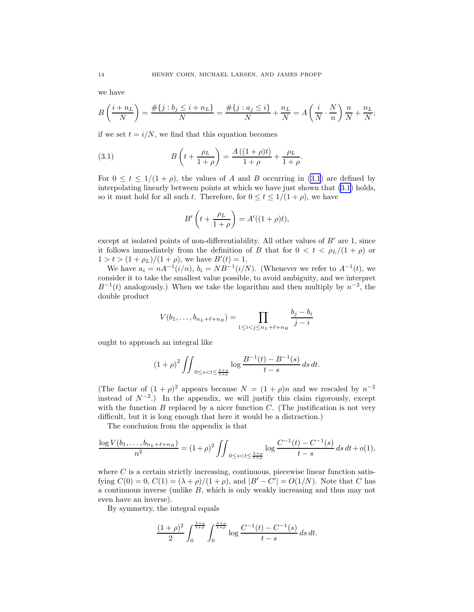we have

$$
B\left(\frac{i+n_L}{N}\right) = \frac{\#\{j : b_j \le i+n_L\}}{N} = \frac{\#\{j : a_j \le i\}}{N} + \frac{n_L}{N} = A\left(\frac{i}{N} \cdot \frac{N}{n}\right) \frac{n}{N} + \frac{n_L}{N};
$$

if we set  $t = i/N$ , we find that this equation becomes

(3.1) 
$$
B\left(t + \frac{\rho_L}{1+\rho}\right) = \frac{A\left((1+\rho)t\right)}{1+\rho} + \frac{\rho_L}{1+\rho}.
$$

For  $0 \le t \le 1/(1+\rho)$ , the values of A and B occurring in (3.1) are defined by interpolating linearly between points at which we have just shown that (3.1) holds, so it must hold for all such t. Therefore, for  $0 \le t \le 1/(1+\rho)$ , we have

$$
B'\left(t+\frac{\rho_L}{1+\rho}\right) = A'((1+\rho)t),
$$

except at isolated points of non-differentiability. All other values of  $B'$  are 1, since it follows immediately from the definition of B that for  $0 < t < \rho_L/(1+\rho)$  or  $1 > t > (1 + \rho_L)/(1 + \rho)$ , we have  $B'(t) = 1$ .

We have  $a_i = nA^{-1}(i/n)$ ,  $b_i = NB^{-1}(i/N)$ . (Whenever we refer to  $A^{-1}(t)$ , we consider it to take the smallest value possible, to avoid ambiguity, and we interpret  $B^{-1}(t)$  analogously.) When we take the logarithm and then multiply by  $n^{-2}$ , the double product

$$
V(b_1, ..., b_{n_L + \ell + n_R}) = \prod_{1 \le i < j \le n_L + \ell + n_R} \frac{b_j - b_i}{j - i}
$$

ought to approach an integral like

$$
(1+\rho)^2 \iint_{0 \le s < t \le \frac{\lambda+\rho}{1+\rho}} \log \frac{B^{-1}(t) - B^{-1}(s)}{t-s} \, ds \, dt.
$$

(The factor of  $(1 + \rho)^2$  appears because  $N = (1 + \rho)n$  and we rescaled by  $n^{-2}$ instead of  $N^{-2}$ .) In the appendix, we will justify this claim rigorously, except with the function  $B$  replaced by a nicer function  $C$ . (The justification is not very difficult, but it is long enough that here it would be a distraction.)

The conclusion from the appendix is that

$$
\frac{\log V(b_1, \dots, b_{n_L + \ell + n_R})}{n^2} = (1 + \rho)^2 \iint_{0 \le s < t \le \frac{\lambda + \rho}{1 + \rho}} \log \frac{C^{-1}(t) - C^{-1}(s)}{t - s} \, ds \, dt + o(1),
$$

where  $C$  is a certain strictly increasing, continuous, piecewise linear function satisfying  $C(0) = 0$ ,  $C(1) = (\lambda + \rho)/(1 + \rho)$ , and  $|B' - C'| = O(1/N)$ . Note that C has a continuous inverse (unlike B, which is only weakly increasing and thus may not even have an inverse).

By symmetry, the integral equals

$$
\frac{(1+\rho)^2}{2} \int_0^{\frac{\lambda+\rho}{1+\rho}} \int_0^{\frac{\lambda+\rho}{1+\rho}} \log \frac{C^{-1}(t) - C^{-1}(s)}{t-s} \, ds \, dt.
$$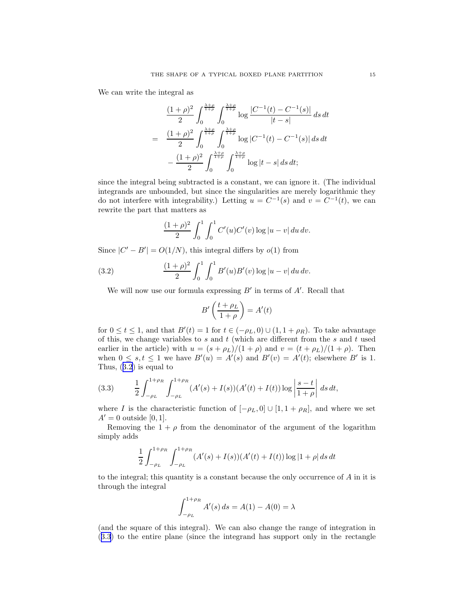We can write the integral as

$$
\frac{(1+\rho)^2}{2} \int_0^{\frac{\lambda+\rho}{1+\rho}} \int_0^{\frac{\lambda+\rho}{1+\rho}} \log \frac{|C^{-1}(t) - C^{-1}(s)|}{|t-s|} ds dt
$$

$$
= \frac{(1+\rho)^2}{2} \int_0^{\frac{\lambda+\rho}{1+\rho}} \int_0^{\frac{\lambda+\rho}{1+\rho}} \log |C^{-1}(t) - C^{-1}(s)| ds dt
$$

$$
- \frac{(1+\rho)^2}{2} \int_0^{\frac{\lambda+\rho}{1+\rho}} \int_0^{\frac{\lambda+\rho}{1+\rho}} \log |t-s| ds dt;
$$

since the integral being subtracted is a constant, we can ignore it. (The individual integrands are unbounded, but since the singularities are merely logarithmic they do not interfere with integrability.) Letting  $u = C^{-1}(s)$  and  $v = C^{-1}(t)$ , we can rewrite the part that matters as

$$
\frac{(1+\rho)^2}{2} \int_0^1 \int_0^1 C'(u)C'(v) \log |u-v| \, du \, dv.
$$

Since  $|C' - B'| = O(1/N)$ , this integral differs by  $o(1)$  from

(3.2) 
$$
\frac{(1+\rho)^2}{2} \int_0^1 \int_0^1 B'(u)B'(v) \log|u-v| \, du \, dv.
$$

We will now use our formula expressing  $B'$  in terms of  $A'$ . Recall that

$$
B'\left(\frac{t+\rho_L}{1+\rho}\right) = A'(t)
$$

for  $0 \le t \le 1$ , and that  $B'(t) = 1$  for  $t \in (-\rho_L, 0) \cup (1, 1 + \rho_R)$ . To take advantage of this, we change variables to  $s$  and  $t$  (which are different from the  $s$  and  $t$  used earlier in the article) with  $u = (s + \rho_L)/(1 + \rho)$  and  $v = (t + \rho_L)/(1 + \rho)$ . Then when  $0 \leq s, t \leq 1$  we have  $B'(u) = A'(s)$  and  $B'(v) = A'(t)$ ; elsewhere  $B'$  is 1. Thus, (3.2) is equal to

(3.3) 
$$
\frac{1}{2} \int_{-\rho_L}^{1+\rho_R} \int_{-\rho_L}^{1+\rho_R} (A'(s) + I(s))(A'(t) + I(t)) \log \left| \frac{s-t}{1+\rho} \right| ds dt,
$$

where I is the characteristic function of  $[-\rho_L, 0] \cup [1, 1 + \rho_R]$ , and where we set  $A'=0$  outside [0, 1].

Removing the  $1 + \rho$  from the denominator of the argument of the logarithm simply adds

$$
\frac{1}{2} \int_{-\rho_L}^{1+\rho_R} \int_{-\rho_L}^{1+\rho_R} (A'(s) + I(s))(A'(t) + I(t)) \log |1+\rho| \, ds \, dt
$$

to the integral; this quantity is a constant because the only occurrence of  $A$  in it is through the integral

$$
\int_{-\rho_L}^{1+\rho_R} A'(s) \, ds = A(1) - A(0) = \lambda
$$

(and the square of this integral). We can also change the range of integration in (3.3) to the entire plane (since the integrand has support only in the rectangle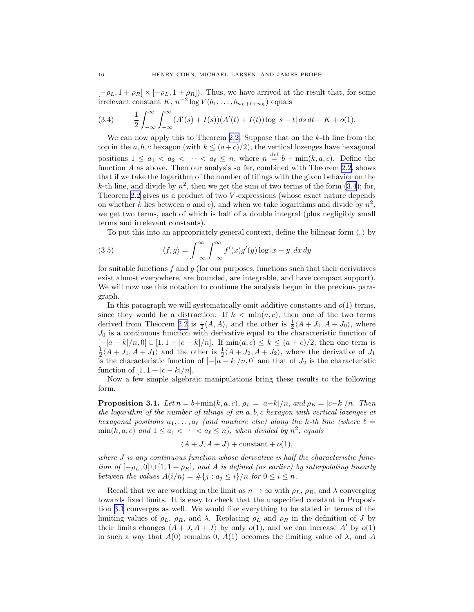<span id="page-15-0"></span> $[-\rho_L, 1 + \rho_R] \times [-\rho_L, 1 + \rho_R]$ . Thus, we have arrived at the result that, for some irrelevant constant  $K$ ,  $n^{-2} \log V(b_1, \ldots, b_{n_L+\ell+n_R})$  equals

(3.4) 
$$
\frac{1}{2} \int_{-\infty}^{\infty} \int_{-\infty}^{\infty} (A'(s) + I(s))(A'(t) + I(t)) \log |s - t| \, ds \, dt + K + o(1).
$$

We can now apply this to Theorem [2.2.](#page-11-0) Suppose that on the  $k$ -th line from the top in the a, b, c hexagon (with  $k \leq (a+c)/2$ ), the vertical lozenges have hexagonal positions  $1 \le a_1 < a_2 < \cdots < a_\ell \le n$ , where  $n \stackrel{\text{def}}{=} b + \min(k, a, c)$ . Define the function A as above. Then our analysis so far, combined with Theorem [2.2](#page-11-0), shows that if we take the logarithm of the number of tilings with the given behavior on the k-th line, and divide by  $n^2$ , then we get the sum of two terms of the form (3.4); for, Theorem [2.2](#page-11-0) gives us a product of two V-expressions (whose exact nature depends on whether k lies between a and c), and when we take logarithms and divide by  $n^2$ , we get two terms, each of which is half of a double integral (plus negligibly small terms and irrelevant constants).

To put this into an appropriately general context, define the bilinear form  $\langle, \rangle$  by

(3.5) 
$$
\langle f, g \rangle = \int_{-\infty}^{\infty} \int_{-\infty}^{\infty} f'(x) g'(y) \log |x - y| dx dy
$$

for suitable functions  $f$  and  $g$  (for our purposes, functions such that their derivatives exist almost everywhere, are bounded, are integrable, and have compact support). We will now use this notation to continue the analysis begun in the previous paragraph.

In this paragraph we will systematically omit additive constants and  $o(1)$  terms, since they would be a distraction. If  $k < \min(a, c)$ , then one of the two terms derived from Theorem [2.2](#page-11-0) is  $\frac{1}{2}\langle A, A \rangle$ , and the other is  $\frac{1}{2}\langle A + J_0, A + J_0 \rangle$ , where  $J_0$  is a continuous function with derivative equal to the characteristic function of  $[-|a-k|/n, 0] \cup [1, 1 + |c-k|/n]$ . If  $\min(a, c) \le k \le (a+c)/2$ , then one term is  $\frac{1}{2}\langle A+J_1, A+J_1 \rangle$  and the other is  $\frac{1}{2}\langle A+J_2, A+J_2 \rangle$ , where the derivative of  $J_1$ is the characteristic function of  $[-|a-k|/n, 0]$  and that of  $J_2$  is the characteristic function of  $[1, 1 + |c-k|/n]$ .

Now a few simple algebraic manipulations bring these results to the following form.

**Proposition 3.1.** Let  $n = b + min(k, a, c)$ ,  $\rho_L = |a-k|/n$ , and  $\rho_R = |c-k|/n$ . Then the logarithm of the number of tilings of an a, b, c hexagon with vertical lozenges at hexagonal positions  $a_1, \ldots, a_\ell$  (and nowhere else) along the k-th line (where  $\ell =$  $\min(k, a, c)$  and  $1 \le a_1 < \cdots < a_\ell \le n$ ), when divided by  $n^2$ , equals

$$
\langle A+J, A+J \rangle + \text{constant} + o(1),
$$

where  $J$  is any continuous function whose derivative is half the characteristic function of  $[-\rho_L, 0] \cup [1, 1 + \rho_R]$ , and A is defined (as earlier) by interpolating linearly between the values  $A(i/n) = \#\{j : a_j \leq i\}/n$  for  $0 \leq i \leq n$ .

Recall that we are working in the limit as  $n \to \infty$  with  $\rho_L$ ,  $\rho_R$ , and  $\lambda$  converging towards fixed limits. It is easy to check that the unspecified constant in Proposition 3.1 converges as well. We would like everything to be stated in terms of the limiting values of  $\rho_L$ ,  $\rho_R$ , and  $\lambda$ . Replacing  $\rho_L$  and  $\rho_R$  in the definition of J by their limits changes  $\langle A + J, A + J \rangle$  by only  $o(1)$ , and we can increase A' by  $o(1)$ in such a way that  $A(0)$  remains 0,  $A(1)$  becomes the limiting value of  $\lambda$ , and A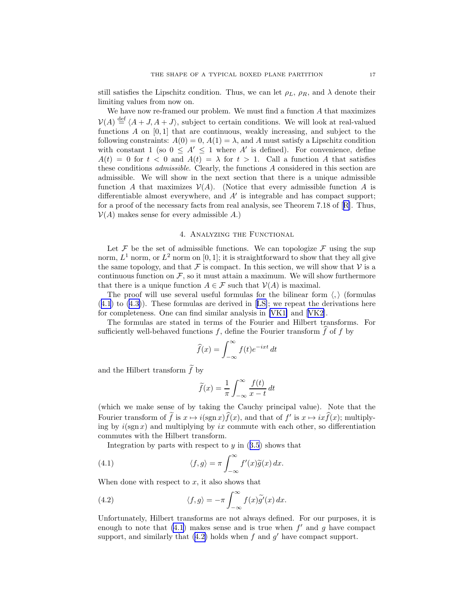<span id="page-16-0"></span>still satisfies the Lipschitz condition. Thus, we can let  $\rho_L$ ,  $\rho_R$ , and  $\lambda$  denote their limiting values from now on.

We have now re-framed our problem. We must find a function  $A$  that maximizes  $\mathcal{V}(A) \stackrel{\text{def}}{=} \langle A + J, A + J \rangle$ , subject to certain conditions. We will look at real-valued functions A on  $[0, 1]$  that are continuous, weakly increasing, and subject to the following constraints:  $A(0) = 0$ ,  $A(1) = \lambda$ , and A must satisfy a Lipschitz condition with constant 1 (so  $0 \leq A' \leq 1$  where A' is defined). For convenience, define  $A(t) = 0$  for  $t < 0$  and  $A(t) = \lambda$  for  $t > 1$ . Call a function A that satisfies these conditions admissible. Clearly, the functions A considered in this section are admissible. We will show in the next section that there is a unique admissible function A that maximizes  $\mathcal{V}(A)$ . (Notice that every admissible function A is differentiable almost everywhere, and A′ is integrable and has compact support; for a proof of the necessary facts from real analysis, see Theorem 7.18 of[[R\]](#page-28-0). Thus,  $V(A)$  makes sense for every admissible A.)

### 4. Analyzing the Functional

Let  $\mathcal F$  be the set of admissible functions. We can topologize  $\mathcal F$  using the sup norm,  $L^1$  norm, or  $L^2$  norm on [0, 1]; it is straightforward to show that they all give the same topology, and that  $\mathcal F$  is compact. In this section, we will show that  $\mathcal V$  is a continuous function on  $F$ , so it must attain a maximum. We will show furthermore that there is a unique function  $A \in \mathcal{F}$  such that  $V(A)$  is maximal.

The proof will use several useful formulas for the bilinear form  $\langle , \rangle$  (formulas (4.1) to([4.3\)](#page-17-0)). These formulas are derived in[[LS\]](#page-28-0); we repeat the derivations here for completeness. One can find similar analysis in [\[VK1\]](#page-28-0) and[[VK2](#page-28-0)].

The formulas are stated in terms of the Fourier and Hilbert transforms. For sufficiently well-behaved functions f, define the Fourier transform  $\widehat{f}$  of f by

$$
\widehat{f}(x) = \int_{-\infty}^{\infty} f(t)e^{-ixt} dt
$$

and the Hilbert transform  $\widetilde{f}$  by

$$
\widetilde{f}(x) = \frac{1}{\pi} \int_{-\infty}^{\infty} \frac{f(t)}{x - t} dt
$$

(which we make sense of by taking the Cauchy principal value). Note that the Fourier transform of f is  $x \mapsto i(\text{sgn } x) f(x)$ , and that of  $f'$  is  $x \mapsto ixf(x)$ ; multiplying by  $i(\text{sgn }x)$  and multiplying by ix commute with each other, so differentiation commutes with the Hilbert transform.

Integrationby parts with respect to  $y$  in  $(3.5)$  $(3.5)$  $(3.5)$  shows that

(4.1) 
$$
\langle f, g \rangle = \pi \int_{-\infty}^{\infty} f'(x) \tilde{g}(x) dx.
$$

When done with respect to  $x$ , it also shows that

(4.2) 
$$
\langle f, g \rangle = -\pi \int_{-\infty}^{\infty} f(x) \tilde{g'}(x) dx.
$$

Unfortunately, Hilbert transforms are not always defined. For our purposes, it is enough to note that  $(4.1)$  makes sense and is true when  $f'$  and g have compact support, and similarly that  $(4.2)$  holds when f and g' have compact support.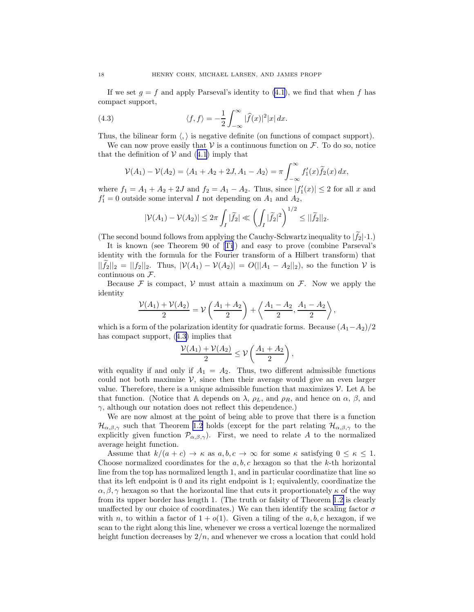<span id="page-17-0"></span>If we set  $g = f$  and apply Parseval's identity to [\(4.1](#page-16-0)), we find that when f has compact support,

(4.3) 
$$
\langle f, f \rangle = -\frac{1}{2} \int_{-\infty}^{\infty} |\widehat{f}(x)|^2 |x| dx.
$$

Thus, the bilinear form  $\langle, \rangle$  is negative definite (on functions of compact support).

We can now prove easily that  $V$  is a continuous function on  $\mathcal{F}$ . To do so, notice thatthe definition of  $V$  and ([4.1](#page-16-0)) imply that

$$
\mathcal{V}(A_1) - \mathcal{V}(A_2) = \langle A_1 + A_2 + 2J, A_1 - A_2 \rangle = \pi \int_{-\infty}^{\infty} f'_1(x) \tilde{f}_2(x) \, dx,
$$

where  $f_1 = A_1 + A_2 + 2J$  and  $f_2 = A_1 - A_2$ . Thus, since  $|f'_1(x)| \le 2$  for all x and  $f_1' = 0$  outside some interval I not depending on  $A_1$  and  $A_2$ ,

$$
|\mathcal{V}(A_1)-\mathcal{V}(A_2)|\leq 2\pi\int_I|\widetilde{f}_2|\ll \left(\int_I|\widetilde{f}_2|^2\right)^{1/2}\leq ||\widetilde{f}_2||_2.
$$

(The second bound follows from applying the Cauchy-Schwartz inequality to  $|\tilde{f}_2| \cdot 1$ .)

It is known (see Theorem 90 of[[Ti\]](#page-28-0)) and easy to prove (combine Parseval's identity with the formula for the Fourier transform of a Hilbert transform) that  $||\tilde{f}_2||_2 = ||f_2||_2$ . Thus,  $|\mathcal{V}(A_1) - \mathcal{V}(A_2)| = O(||A_1 - A_2||_2)$ , so the function  $\mathcal{V}$  is continuous on  $\mathcal{F}.$ 

Because  $\mathcal F$  is compact,  $\mathcal V$  must attain a maximum on  $\mathcal F$ . Now we apply the identity

$$
\frac{\mathcal{V}(A_1) + \mathcal{V}(A_2)}{2} = \mathcal{V}\left(\frac{A_1 + A_2}{2}\right) + \left\langle \frac{A_1 - A_2}{2}, \frac{A_1 - A_2}{2} \right\rangle,
$$

which is a form of the polarization identity for quadratic forms. Because  $(A_1-A_2)/2$ has compact support, (4.3) implies that

$$
\frac{\mathcal{V}(A_1)+\mathcal{V}(A_2)}{2}\leq \mathcal{V}\left(\frac{A_1+A_2}{2}\right),
$$

with equality if and only if  $A_1 = A_2$ . Thus, two different admissible functions could not both maximize  $\mathcal{V}$ , since then their average would give an even larger value. Therefore, there is a unique admissible function that maximizes  $\mathcal V$ . Let  $\mathbb A$  be that function. (Notice that A depends on  $\lambda$ ,  $\rho_L$ , and  $\rho_R$ , and hence on  $\alpha$ ,  $\beta$ , and  $\gamma$ , although our notation does not reflect this dependence.)

We are now almost at the point of being able to prove that there is a function  $\mathcal{H}_{\alpha,\beta,\gamma}$  such that Theorem [1.2](#page-6-0) holds (except for the part relating  $\mathcal{H}_{\alpha,\beta,\gamma}$  to the explicitly given function  $\mathcal{P}_{\alpha,\beta,\gamma}$ . First, we need to relate A to the normalized average height function.

Assume that  $k/(a+c) \to \kappa$  as  $a, b, c \to \infty$  for some  $\kappa$  satisfying  $0 \leq \kappa \leq 1$ . Choose normalized coordinates for the  $a, b, c$  hexagon so that the k-th horizontal line from the top has normalized length 1, and in particular coordinatize that line so that its left endpoint is 0 and its right endpoint is 1; equivalently, coordinatize the  $\alpha, \beta, \gamma$  hexagon so that the horizontal line that cuts it proportionately  $\kappa$  of the way from its upper border has length 1. (The truth or falsity of Theorem [1.2](#page-6-0) is clearly unaffected by our choice of coordinates.) We can then identify the scaling factor  $\sigma$ with n, to within a factor of  $1 + o(1)$ . Given a tiling of the a, b, c hexagon, if we scan to the right along this line, whenever we cross a vertical lozenge the normalized height function decreases by  $2/n$ , and whenever we cross a location that could hold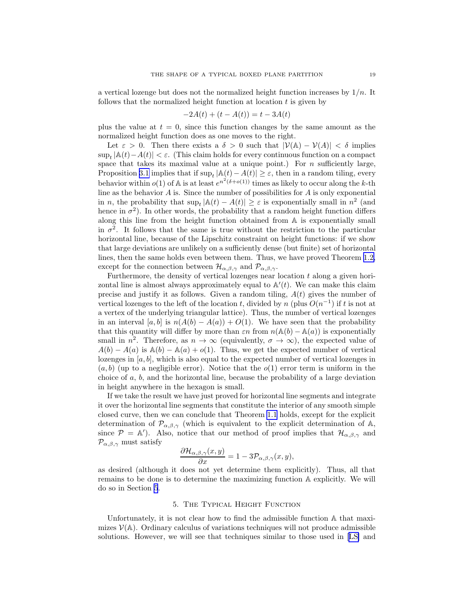<span id="page-18-0"></span>a vertical lozenge but does not the normalized height function increases by  $1/n$ . It follows that the normalized height function at location  $t$  is given by

$$
-2A(t) + (t - A(t)) = t - 3A(t)
$$

plus the value at  $t = 0$ , since this function changes by the same amount as the normalized height function does as one moves to the right.

Let  $\varepsilon > 0$ . Then there exists a  $\delta > 0$  such that  $|\mathcal{V}(\mathbb{A}) - \mathcal{V}(A)| < \delta$  implies sup<sub>t</sub>  $|A(t) - A(t)|$  <  $\varepsilon$ . (This claim holds for every continuous function on a compact space that takes its maximal value at a unique point.) For  $n$  sufficiently large, Proposition [3.1](#page-15-0) implies that if  $\sup_t |\mathbb{A}(t) - A(t)| \geq \varepsilon$ , then in a random tiling, every behavior within  $o(1)$  of A is at least  $e^{n^2(\delta + o(1))}$  times as likely to occur along the k-th line as the behavior  $A$  is. Since the number of possibilities for  $A$  is only exponential in *n*, the probability that  $\sup_t |\mathbb{A}(t) - A(t)| \geq \varepsilon$  is exponentially small in  $n^2$  (and hence in  $\sigma^2$ ). In other words, the probability that a random height function differs along this line from the height function obtained from A is exponentially small in  $\sigma^2$ . It follows that the same is true without the restriction to the particular horizontal line, because of the Lipschitz constraint on height functions: if we show that large deviations are unlikely on a sufficiently dense (but finite) set of horizontal lines, then the same holds even between them. Thus, we have proved Theorem [1.2,](#page-6-0) except for the connection between  $\mathcal{H}_{\alpha,\beta,\gamma}$  and  $\mathcal{P}_{\alpha,\beta,\gamma}$ .

Furthermore, the density of vertical lozenges near location  $t$  along a given horizontal line is almost always approximately equal to  $\mathbb{A}'(t)$ . We can make this claim precise and justify it as follows. Given a random tiling,  $A(t)$  gives the number of vertical lozenges to the left of the location t, divided by n (plus  $O(n^{-1})$ ) if t is not at a vertex of the underlying triangular lattice). Thus, the number of vertical lozenges in an interval [a, b] is  $n(A(b) - A(a)) + O(1)$ . We have seen that the probability that this quantity will differ by more than  $\varepsilon n$  from  $n(A(b) - A(a))$  is exponentially small in  $n^2$ . Therefore, as  $n \to \infty$  (equivalently,  $\sigma \to \infty$ ), the expected value of  $A(b) - A(a)$  is  $\mathbb{A}(b) - \mathbb{A}(a) + o(1)$ . Thus, we get the expected number of vertical lozenges in  $[a, b]$ , which is also equal to the expected number of vertical lozenges in  $(a, b)$  (up to a negligible error). Notice that the  $o(1)$  error term is uniform in the choice of a, b, and the horizontal line, because the probability of a large deviation in height anywhere in the hexagon is small.

If we take the result we have just proved for horizontal line segments and integrate it over the horizontal line segments that constitute the interior of any smooth simple closed curve, then we can conclude that Theorem [1.1](#page-4-0) holds, except for the explicit determination of  $\mathcal{P}_{\alpha,\beta,\gamma}$  (which is equivalent to the explicit determination of A, since  $\mathcal{P} = \mathbb{A}'$ ). Also, notice that our method of proof implies that  $\mathcal{H}_{\alpha,\beta,\gamma}$  and  $\mathcal{P}_{\alpha,\beta,\gamma}$  must satisfy

$$
\frac{\partial \mathcal{H}_{\alpha,\beta,\gamma}(x,y)}{\partial x} = 1 - 3\mathcal{P}_{\alpha,\beta,\gamma}(x,y),
$$

as desired (although it does not yet determine them explicitly). Thus, all that remains to be done is to determine the maximizing function A explicitly. We will do so in Section 5.

#### 5. The Typical Height Function

Unfortunately, it is not clear how to find the admissible function A that maximizes  $V(\mathbb{A})$ . Ordinary calculus of variations techniques will not produce admissible solutions. However, we will see that techniques similar to those used in[[LS\]](#page-28-0) and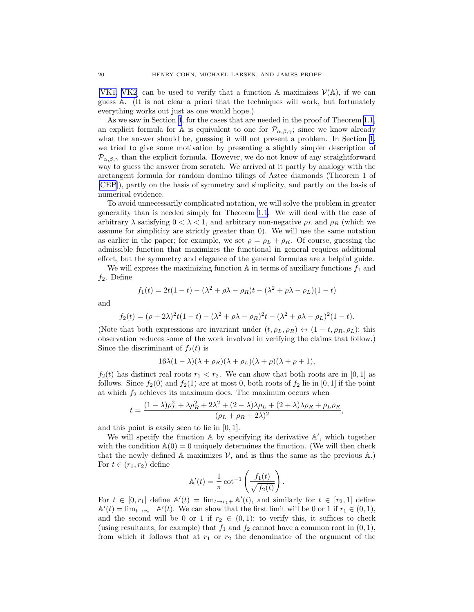[\[VK1, VK2\]](#page-28-0) can be used to verify that a function  $\mathbb A$  maximizes  $\mathcal V(\mathbb A)$ , if we can guess A. (It is not clear a priori that the techniques will work, but fortunately everything works out just as one would hope.)

As we saw in Section [4](#page-16-0), for the cases that are needed in the proof of Theorem [1.1,](#page-4-0) an explicit formula for A is equivalent to one for  $\mathcal{P}_{\alpha,\beta,\gamma}$ ; since we know already what the answer should be, guessing it will not present a problem. In Section [1,](#page-0-0) we tried to give some motivation by presenting a slightly simpler description of  $\mathcal{P}_{\alpha,\beta,\gamma}$  than the explicit formula. However, we do not know of any straightforward way to guess the answer from scratch. We arrived at it partly by analogy with the arctangent formula for random domino tilings of Aztec diamonds (Theorem 1 of [\[CEP](#page-27-0)]), partly on the basis of symmetry and simplicity, and partly on the basis of numerical evidence.

To avoid unnecessarily complicated notation, we will solve the problem in greater generality than is needed simply for Theorem [1.1](#page-4-0). We will deal with the case of arbitrary  $\lambda$  satisfying  $0 < \lambda < 1$ , and arbitrary non-negative  $\rho_L$  and  $\rho_R$  (which we assume for simplicity are strictly greater than 0). We will use the same notation as earlier in the paper; for example, we set  $\rho = \rho_L + \rho_R$ . Of course, guessing the admissible function that maximizes the functional in general requires additional effort, but the symmetry and elegance of the general formulas are a helpful guide.

We will express the maximizing function  $A$  in terms of auxiliary functions  $f_1$  and  $f_2$ . Define

$$
f_1(t) = 2t(1-t) - (\lambda^2 + \rho\lambda - \rho_R)t - (\lambda^2 + \rho\lambda - \rho_L)(1-t)
$$

and

$$
f_2(t) = (\rho + 2\lambda)^2 t (1 - t) - (\lambda^2 + \rho \lambda - \rho_R)^2 t - (\lambda^2 + \rho \lambda - \rho_L)^2 (1 - t).
$$

(Note that both expressions are invariant under  $(t, \rho_L, \rho_R) \leftrightarrow (1 - t, \rho_R, \rho_L)$ ; this observation reduces some of the work involved in verifying the claims that follow.) Since the discriminant of  $f_2(t)$  is

$$
16\lambda(1-\lambda)(\lambda+\rho_R)(\lambda+\rho_L)(\lambda+\rho)(\lambda+\rho+1),
$$

 $f_2(t)$  has distinct real roots  $r_1 < r_2$ . We can show that both roots are in [0, 1] as follows. Since  $f_2(0)$  and  $f_2(1)$  are at most 0, both roots of  $f_2$  lie in [0, 1] if the point at which  $f_2$  achieves its maximum does. The maximum occurs when

$$
t = \frac{(1 - \lambda)\rho_L^2 + \lambda \rho_R^2 + 2\lambda^2 + (2 - \lambda)\lambda \rho_L + (2 + \lambda)\lambda \rho_R + \rho_L \rho_R}{(\rho_L + \rho_R + 2\lambda)^2},
$$

and this point is easily seen to lie in [0, 1].

We will specify the function A by specifying its derivative A', which together with the condition  $\mathbb{A}(0) = 0$  uniquely determines the function. (We will then check that the newly defined A maximizes  $V$ , and is thus the same as the previous A.) For  $t \in (r_1, r_2)$  define

$$
\mathbb{A}'(t) = \frac{1}{\pi} \cot^{-1} \left( \frac{f_1(t)}{\sqrt{f_2(t)}} \right).
$$

For  $t \in [0, r_1]$  define  $\mathbb{A}'(t) = \lim_{t \to r_1+} \mathbb{A}'(t)$ , and similarly for  $t \in [r_2, 1]$  define  $\mathbb{A}'(t) = \lim_{t \to r_2^-} \mathbb{A}'(t)$ . We can show that the first limit will be 0 or 1 if  $r_1 \in (0, 1)$ , and the second will be 0 or 1 if  $r_2 \in (0,1)$ ; to verify this, it suffices to check (using resultants, for example) that  $f_1$  and  $f_2$  cannot have a common root in  $(0, 1)$ , from which it follows that at  $r_1$  or  $r_2$  the denominator of the argument of the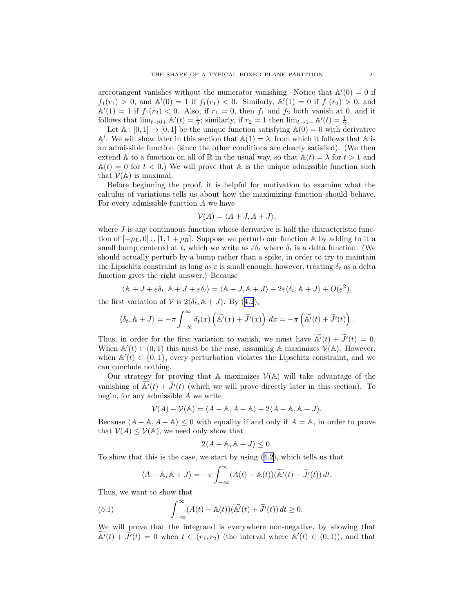<span id="page-20-0"></span>arccotangent vanishes without the numerator vanishing. Notice that  $\mathbb{A}'(0) = 0$  if  $f_1(r_1) > 0$ , and  $\mathbb{A}'(0) = 1$  if  $f_1(r_1) < 0$ . Similarly,  $\mathbb{A}'(1) = 0$  if  $f_1(r_2) > 0$ , and  $\mathbb{A}'(1) = 1$  if  $f_1(r_2) < 0$ . Also, if  $r_1 = 0$ , then  $f_1$  and  $f_2$  both vanish at 0, and it follows that  $\lim_{t\to 0+} \mathbb{A}'(t) = \frac{1}{2}$ ; similarly, if  $r_2 = 1$  then  $\lim_{t\to 1-} \mathbb{A}'(t) = \frac{1}{2}$ .

Let  $\mathbb{A} : [0,1] \to [0,1]$  be the unique function satisfying  $\mathbb{A}(0) = 0$  with derivative A'. We will show later in this section that  $\mathbb{A}(1) = \lambda$ , from which it follows that A is an admissible function (since the other conditions are clearly satisfied). (We then extend A to a function on all of R in the usual way, so that  $A(t) = \lambda$  for  $t > 1$  and  $\mathbb{A}(t) = 0$  for  $t < 0$ .) We will prove that A is the unique admissible function such that  $V(A)$  is maximal.

Before beginning the proof, it is helpful for motivation to examine what the calculus of variations tells us about how the maximizing function should behave. For every admissible function A we have

$$
\mathcal{V}(A) = \langle A+J, A+J \rangle,
$$

where  $J$  is any continuous function whose derivative is half the characteristic function of  $[-\rho_L, 0]$  ∪  $[1, 1 + \rho_R]$ . Suppose we perturb our function A by adding to it a small bump centered at t, which we write as  $\varepsilon \delta_t$  where  $\delta_t$  is a delta function. (We should actually perturb by a bump rather than a spike, in order to try to maintain the Lipschitz constraint as long as  $\varepsilon$  is small enough; however, treating  $\delta_t$  as a delta function gives the right answer.) Because

$$
\langle \mathbb{A} + J + \varepsilon \delta_t, \mathbb{A} + J + \varepsilon \delta_t \rangle = \langle \mathbb{A} + J, \mathbb{A} + J \rangle + 2\varepsilon \langle \delta_t, \mathbb{A} + J \rangle + O(\varepsilon^2),
$$

thefirst variation of V is  $2\langle \delta_t, \mathbb{A} + J \rangle$ . By ([4.2](#page-16-0)),

$$
\langle \delta_t, \mathbb{A} + J \rangle = -\pi \int_{-\infty}^{\infty} \delta_t(x) \left( \widetilde{\mathbb{A}'}(x) + \widetilde{J'}(x) \right) dx = -\pi \left( \widetilde{\mathbb{A}'}(t) + \widetilde{J'}(t) \right).
$$

Thus, in order for the first variation to vanish, we must have  $\mathbb{A}'(t) + \mathcal{J}'(t) = 0$ . When  $\mathbb{A}'(t) \in (0,1)$  this must be the case, assuming A maximizes  $\mathcal{V}(\mathbb{A})$ . However, when  $\mathbb{A}'(t) \in \{0,1\}$ , every perturbation violates the Lipschitz constraint, and we can conclude nothing.

Our strategy for proving that A maximizes  $\mathcal{V}(\mathbb{A})$  will take advantage of the vanishing of  $\mathbb{A}'(t) + J'(t)$  (which we will prove directly later in this section). To begin, for any admissible  $A$  we write

$$
\mathcal{V}(A) - \mathcal{V}(\mathbb{A}) = \langle A - \mathbb{A}, A - \mathbb{A} \rangle + 2\langle A - \mathbb{A}, \mathbb{A} + J \rangle.
$$

Because  $\langle A - A, A - A \rangle \leq 0$  with equality if and only if  $A = A$ , in order to prove that  $V(A) \leq V(A)$ , we need only show that

$$
2\langle A - \mathbb{A}, \mathbb{A} + J \rangle \le 0.
$$

To show that this is the case, we start by using([4.2](#page-16-0)), which tells us that

$$
\langle A - \mathbb{A}, \mathbb{A} + J \rangle = -\pi \int_{-\infty}^{\infty} (A(t) - \mathbb{A}(t)) (\widetilde{\mathbb{A}'}(t) + \widetilde{J'}(t)) dt.
$$

Thus, we want to show that

(5.1) 
$$
\int_{-\infty}^{\infty} (A(t) - A(t)) (\widetilde{A'}(t) + \widetilde{J'}(t)) dt \ge 0.
$$

We will prove that the integrand is everywhere non-negative, by showing that  $\widetilde{A'}(t) + \widetilde{J}'(t) = 0$  when  $t \in (r_1, r_2)$  (the interval where  $A'(t) \in (0, 1)$ ), and that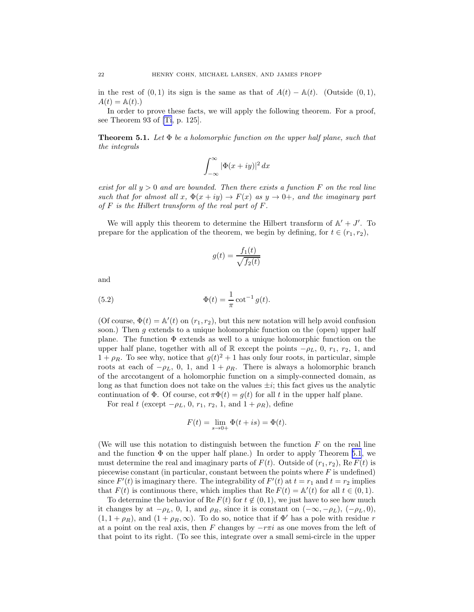in the rest of  $(0, 1)$  its sign is the same as that of  $A(t) - \mathbb{A}(t)$ . (Outside  $(0, 1)$ ,  $A(t) = \mathbb{A}(t).$ 

In order to prove these facts, we will apply the following theorem. For a proof, see Theorem 93 of [\[Ti](#page-28-0), p. 125].

**Theorem 5.1.** Let  $\Phi$  be a holomorphic function on the upper half plane, such that the integrals

$$
\int_{-\infty}^{\infty} |\Phi(x+iy)|^2 dx
$$

exist for all  $y > 0$  and are bounded. Then there exists a function F on the real line such that for almost all  $x, \Phi(x+iy) \rightarrow F(x)$  as  $y \rightarrow 0^+$ , and the imaginary part of  $F$  is the Hilbert transform of the real part of  $F$ .

We will apply this theorem to determine the Hilbert transform of  $\mathbb{A}' + J'$ . To prepare for the application of the theorem, we begin by defining, for  $t \in (r_1, r_2)$ ,

$$
g(t) = \frac{f_1(t)}{\sqrt{f_2(t)}}
$$

and

(5.2) 
$$
\Phi(t) = \frac{1}{\pi} \cot^{-1} g(t).
$$

(Of course,  $\Phi(t) = \mathbb{A}'(t)$  on  $(r_1, r_2)$ , but this new notation will help avoid confusion soon.) Then  $q$  extends to a unique holomorphic function on the (open) upper half plane. The function  $\Phi$  extends as well to a unique holomorphic function on the upper half plane, together with all of R except the points  $-\rho_L$ , 0,  $r_1$ ,  $r_2$ , 1, and  $1 + \rho_R$ . To see why, notice that  $g(t)^2 + 1$  has only four roots, in particular, simple roots at each of  $-\rho_L$ , 0, 1, and 1 +  $\rho_R$ . There is always a holomorphic branch of the arccotangent of a holomorphic function on a simply-connected domain, as long as that function does not take on the values  $\pm i$ ; this fact gives us the analytic continuation of  $\Phi$ . Of course,  $\cot \pi \Phi(t) = g(t)$  for all t in the upper half plane.

For real t (except  $-\rho_L$ , 0,  $r_1$ ,  $r_2$ , 1, and  $1 + \rho_R$ ), define

$$
F(t) = \lim_{s \to 0+} \Phi(t + is) = \Phi(t).
$$

(We will use this notation to distinguish between the function  $F$  on the real line and the function  $\Phi$  on the upper half plane.) In order to apply Theorem 5.1, we must determine the real and imaginary parts of  $F(t)$ . Outside of  $(r_1, r_2)$ , Re  $F(t)$  is piecewise constant (in particular, constant between the points where  $F$  is undefined) since  $F'(t)$  is imaginary there. The integrability of  $F'(t)$  at  $t = r_1$  and  $t = r_2$  implies that  $F(t)$  is continuous there, which implies that  $\text{Re } F(t) = A'(t)$  for all  $t \in (0,1)$ .

To determine the behavior of Re  $F(t)$  for  $t \notin (0, 1)$ , we just have to see how much it changes by at  $-\rho_L$ , 0, 1, and  $\rho_R$ , since it is constant on  $(-\infty, -\rho_L)$ ,  $(-\rho_L, 0)$ ,  $(1, 1 + \rho_R)$ , and  $(1 + \rho_R, \infty)$ . To do so, notice that if  $\Phi'$  has a pole with residue r at a point on the real axis, then F changes by  $-\tau\pi i$  as one moves from the left of that point to its right. (To see this, integrate over a small semi-circle in the upper

<span id="page-21-0"></span>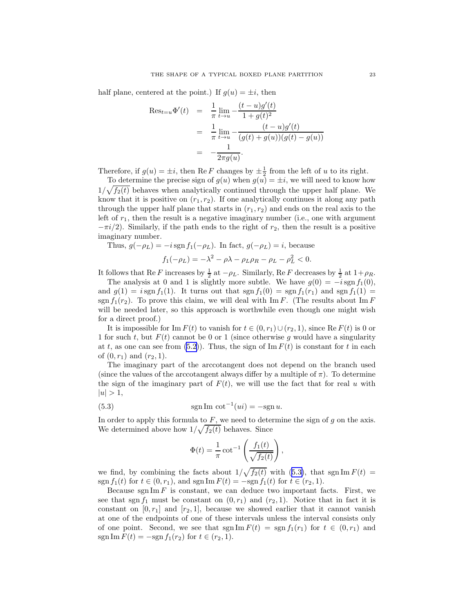half plane, centered at the point.) If  $g(u) = \pm i$ , then

$$
\begin{array}{rcl}\n\text{Res}_{t=u}\Phi'(t) & = & \frac{1}{\pi} \lim_{t \to u} -\frac{(t-u)g'(t)}{1+g(t)^2} \\
& = & \frac{1}{\pi} \lim_{t \to u} -\frac{(t-u)g'(t)}{(g(t)+g(u))(g(t)-g(u))} \\
& = & -\frac{1}{2\pi g(u)}.\n\end{array}
$$

Therefore, if  $g(u) = \pm i$ , then Re F changes by  $\pm \frac{1}{2}$  from the left of u to its right.

To determine the precise sign of  $g(u)$  when  $g(u) = \pm i$ , we will need to know how  $1/\sqrt{f_2(t)}$  behaves when analytically continued through the upper half plane. We know that it is positive on  $(r_1, r_2)$ . If one analytically continues it along any path through the upper half plane that starts in  $(r_1, r_2)$  and ends on the real axis to the left of  $r_1$ , then the result is a negative imaginary number (i.e., one with argument  $-\pi i/2$ ). Similarly, if the path ends to the right of  $r_2$ , then the result is a positive imaginary number.

Thus, 
$$
g(-\rho_L) = -i \operatorname{sgn} f_1(-\rho_L)
$$
. In fact,  $g(-\rho_L) = i$ , because

$$
f_1(-\rho_L) = -\lambda^2 - \rho\lambda - \rho_L \rho_R - \rho_L - \rho_L^2 < 0.
$$

It follows that Re F increases by  $\frac{1}{2}$  at  $-\rho_L$ . Similarly, Re F decreases by  $\frac{1}{2}$  at  $1+\rho_R$ .

The analysis at 0 and 1 is slightly more subtle. We have  $g(0) = -i \operatorname{sgn} f_1(0)$ , and  $g(1) = i \operatorname{sgn} f_1(1)$ . It turns out that  $\operatorname{sgn} f_1(0) = \operatorname{sgn} f_1(r_1)$  and  $\operatorname{sgn} f_1(1) =$ sgn  $f_1(r_2)$ . To prove this claim, we will deal with Im F. (The results about Im F will be needed later, so this approach is worthwhile even though one might wish for a direct proof.)

It is impossible for Im  $F(t)$  to vanish for  $t \in (0, r_1) \cup (r_2, 1)$ , since Re  $F(t)$  is 0 or 1 for such t, but  $F(t)$  cannot be 0 or 1 (since otherwise g would have a singularity at t, as one can see from  $(5.2)$ . Thus, the sign of Im  $F(t)$  is constant for t in each of  $(0, r_1)$  and  $(r_2, 1)$ .

The imaginary part of the arccotangent does not depend on the branch used (since the values of the arccotangent always differ by a multiple of  $\pi$ ). To determine the sign of the imaginary part of  $F(t)$ , we will use the fact that for real u with  $|u| > 1,$ 

(5.3) 
$$
\operatorname{sgn} \operatorname{Im} \cot^{-1}(ui) = -\operatorname{sgn} u.
$$

In order to apply this formula to  $F$ , we need to determine the sign of  $g$  on the axis. We determined above how  $1/\sqrt{f_2(t)}$  behaves. Since

$$
\Phi(t) = \frac{1}{\pi} \cot^{-1} \left( \frac{f_1(t)}{\sqrt{f_2(t)}} \right),
$$

we find, by combining the facts about  $1/\sqrt{f_2(t)}$  with (5.3), that sgn Im  $F(t)$  = sgn  $f_1(t)$  for  $t \in (0, r_1)$ , and sgn Im  $F(t) = -\text{sgn } f_1(t)$  for  $t \in (r_2, 1)$ .

Because sgn Im  $F$  is constant, we can deduce two important facts. First, we see that sgn  $f_1$  must be constant on  $(0, r_1)$  and  $(r_2, 1)$ . Notice that in fact it is constant on  $[0, r_1]$  and  $[r_2, 1]$ , because we showed earlier that it cannot vanish at one of the endpoints of one of these intervals unless the interval consists only of one point. Second, we see that  $\text{sgn}\,\text{Im}\,F(t) = \text{sgn}\,f_1(r_1)$  for  $t \in (0,r_1)$  and sgn Im  $F(t) = -sgn f_1(r_2)$  for  $t \in (r_2, 1)$ .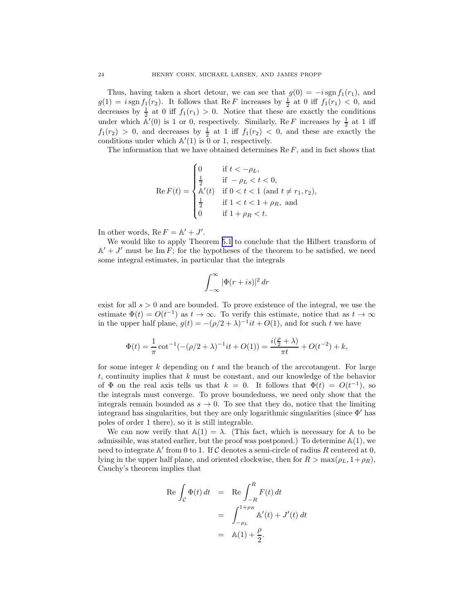Thus, having taken a short detour, we can see that  $g(0) = -i \operatorname{sgn} f_1(r_1)$ , and  $g(1) = i \operatorname{sgn} f_1(r_2)$ . It follows that Re F increases by  $\frac{1}{2}$  at 0 iff  $f_1(r_1) < 0$ , and decreases by  $\frac{1}{2}$  at 0 iff  $f_1(r_1) > 0$ . Notice that these are exactly the conditions under which  $\mathbb{A}'(0)$  is 1 or 0, respectively. Similarly, Re F increases by  $\frac{1}{2}$  at 1 iff  $f_1(r_2) > 0$ , and decreases by  $\frac{1}{2}$  at 1 iff  $f_1(r_2) < 0$ , and these are exactly the conditions under which  $\mathbb{A}'(1)$  is 0 or 1, respectively.

The information that we have obtained determines  $\text{Re } F$ , and in fact shows that

$$
\operatorname{Re} F(t) = \begin{cases} 0 & \text{if } t < -\rho_L, \\ \frac{1}{2} & \text{if } -\rho_L < t < 0, \\ \mathbb{A}'(t) & \text{if } 0 < t < 1 \text{ (and } t \neq r_1, r_2), \\ \frac{1}{2} & \text{if } 1 < t < 1 + \rho_R, \text{ and} \\ 0 & \text{if } 1 + \rho_R < t. \end{cases}
$$

In other words,  $\text{Re } F = \mathbb{A}' + J'.$ 

We would like to apply Theorem [5.1](#page-21-0) to conclude that the Hilbert transform of  $\mathbb{A}' + J'$  must be Im F; for the hypotheses of the theorem to be satisfied, we need some integral estimates, in particular that the integrals

$$
\int_{-\infty}^{\infty} |\Phi(r+is)|^2 dr
$$

exist for all  $s > 0$  and are bounded. To prove existence of the integral, we use the estimate  $\Phi(t) = O(t^{-1})$  as  $t \to \infty$ . To verify this estimate, notice that as  $t \to \infty$ in the upper half plane,  $g(t) = -(\rho/2 + \lambda)^{-1}it + O(1)$ , and for such t we have

$$
\Phi(t) = \frac{1}{\pi} \cot^{-1}(-(\rho/2 + \lambda)^{-1}it + O(1)) = \frac{i(\frac{\rho}{2} + \lambda)}{\pi t} + O(t^{-2}) + k,
$$

for some integer k depending on t and the branch of the arccotangent. For large t, continuity implies that  $k$  must be constant, and our knowledge of the behavior of  $\Phi$  on the real axis tells us that  $k = 0$ . It follows that  $\Phi(t) = O(t^{-1})$ , so the integrals must converge. To prove boundedness, we need only show that the integrals remain bounded as  $s \to 0$ . To see that they do, notice that the limiting integrand has singularities, but they are only logarithmic singularities (since  $\Phi'$  has poles of order 1 there), so it is still integrable.

We can now verify that  $\mathbb{A}(1) = \lambda$ . (This fact, which is necessary for  $\mathbb{A}$  to be admissible, was stated earlier, but the proof was postponed.) To determine A(1), we need to integrate  $\mathbb{A}'$  from 0 to 1. If  $\mathcal C$  denotes a semi-circle of radius R centered at 0, lying in the upper half plane, and oriented clockwise, then for  $R > \max(\rho_L, 1+\rho_R)$ , Cauchy's theorem implies that

$$
\begin{aligned} \text{Re} \int_{\mathcal{C}} \Phi(t) \, dt &= \text{Re} \int_{-R}^{R} F(t) \, dt \\ &= \int_{-\rho_L}^{1+\rho_R} \mathbb{A}'(t) + J'(t) \, dt \\ &= \mathbb{A}(1) + \frac{\rho}{2}. \end{aligned}
$$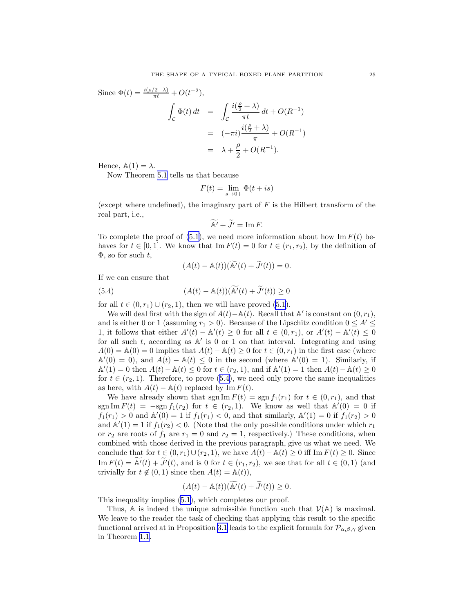Since  $\Phi(t) = \frac{i(\rho/2 + \lambda)}{\pi t} + O(t^{-2}),$  $\mathfrak{c}$  $\Phi(t) dt =$ Z  $\mathfrak{c}$  $i(\frac{\rho}{2} + \lambda)$  $\frac{1}{\pi t} dt + O(R^{-1})$  $=$   $(-\pi i) \frac{i(\frac{\rho}{2} + \lambda)}{\pi}$  $\frac{1}{\pi}$  + O(R<sup>-1</sup>)  $= \lambda + \frac{\rho}{2}$  $\frac{p}{2} + O(R^{-1}).$ 

Hence,  $\mathbb{A}(1) = \lambda$ .

Now Theorem [5.1](#page-21-0) tells us that because

$$
F(t) = \lim_{s \to 0+} \Phi(t + is)
$$

(except where undefined), the imaginary part of  $F$  is the Hilbert transform of the real part, i.e.,

$$
\widetilde{\mathbb{A}'} + \widetilde{J'} = \operatorname{Im} F.
$$

To complete the proof of  $(5.1)$ , we need more information about how Im  $F(t)$  behaves for  $t \in [0, 1]$ . We know that Im  $F(t) = 0$  for  $t \in (r_1, r_2)$ , by the definition of  $\Phi$ , so for such t,

$$
(A(t) - A(t))(\widetilde{A'}(t) + \widetilde{J'}(t)) = 0.
$$

If we can ensure that

(5.4) 
$$
(A(t) - A(t))(\widetilde{A'}(t) + \widetilde{J'}(t)) \ge 0
$$

for all  $t \in (0, r_1) \cup (r_2, 1)$ , then we will have proved  $(5.1)$ .

We will deal first with the sign of  $A(t) - A(t)$ . Recall that A' is constant on  $(0, r_1)$ , and is either 0 or 1 (assuming  $r_1 > 0$ ). Because of the Lipschitz condition  $0 \leq A' \leq$ 1, it follows that either  $A'(t) - A'(t) \ge 0$  for all  $t \in (0, r_1)$ , or  $A'(t) - A'(t) \le 0$ for all such  $t$ , according as  $\mathbb{A}'$  is 0 or 1 on that interval. Integrating and using  $A(0) = A(0) = 0$  implies that  $A(t) - A(t) \geq 0$  for  $t \in (0, r_1)$  in the first case (where  $\mathbb{A}'(0) = 0$ , and  $A(t) - \mathbb{A}(t) \leq 0$  in the second (where  $\mathbb{A}'(0) = 1$ ). Similarly, if  $\mathbb{A}'(1) = 0$  then  $A(t) - \mathbb{A}(t) \leq 0$  for  $t \in (r_2, 1)$ , and if  $\mathbb{A}'(1) = 1$  then  $A(t) - \mathbb{A}(t) \geq 0$ for  $t \in (r_2, 1)$ . Therefore, to prove (5.4), we need only prove the same inequalities as here, with  $A(t) - A(t)$  replaced by Im  $F(t)$ .

We have already shown that sgn Im  $F(t) = \text{sgn } f_1(r_1)$  for  $t \in (0, r_1)$ , and that sgn Im  $F(t) = -\text{sgn } f_1(r_2)$  for  $t \in (r_2, 1)$ . We know as well that  $A'(0) = 0$  if  $f_1(r_1) > 0$  and  $\mathbb{A}'(0) = 1$  if  $f_1(r_1) < 0$ , and that similarly,  $\mathbb{A}'(1) = 0$  if  $f_1(r_2) > 0$ and  $\mathbb{A}'(1) = 1$  if  $f_1(r_2) < 0$ . (Note that the only possible conditions under which  $r_1$ or  $r_2$  are roots of  $f_1$  are  $r_1 = 0$  and  $r_2 = 1$ , respectively.) These conditions, when combined with those derived in the previous paragraph, give us what we need. We conclude that for  $t \in (0, r_1) \cup (r_2, 1)$ , we have  $A(t) - \mathbb{A}(t) \geq 0$  iff Im  $F(t) \geq 0$ . Since Im  $F(t) = \widetilde{A'}(t) + \widetilde{J'}(t)$ , and is 0 for  $t \in (r_1, r_2)$ , we see that for all  $t \in (0, 1)$  (and trivially for  $t \notin (0, 1)$  since then  $A(t) = \mathbb{A}(t)$ ,

$$
(A(t) - \mathbb{A}(t))(\widetilde{\mathbb{A}'}(t) + \widetilde{J'}(t)) \ge 0.
$$

This inequality implies [\(5.1](#page-20-0)), which completes our proof.

Thus,  $\mathbb A$  is indeed the unique admissible function such that  $\mathcal V(\mathbb A)$  is maximal. We leave to the reader the task of checking that applying this result to the specific functional arrived at in Proposition [3.1](#page-15-0) leads to the explicit formula for  $\mathcal{P}_{\alpha,\beta,\gamma}$  given in Theorem [1.1](#page-4-0).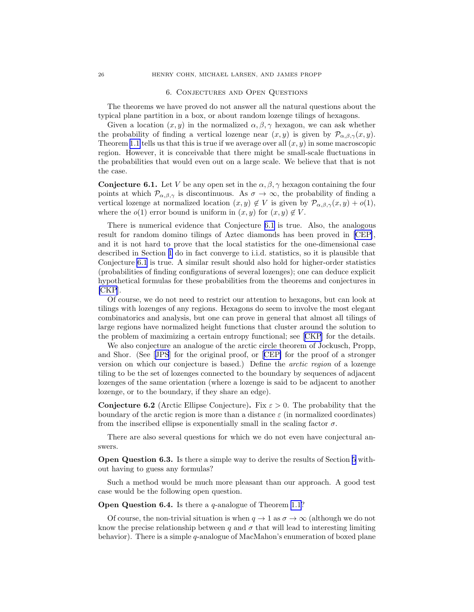#### 6. Conjectures and Open Questions

<span id="page-25-0"></span>The theorems we have proved do not answer all the natural questions about the typical plane partition in a box, or about random lozenge tilings of hexagons.

Given a location  $(x, y)$  in the normalized  $\alpha, \beta, \gamma$  hexagon, we can ask whether the probability of finding a vertical lozenge near  $(x, y)$  is given by  $\mathcal{P}_{\alpha, \beta, \gamma}(x, y)$ . Theorem [1.1](#page-4-0) tells us that this is true if we average over all  $(x, y)$  in some macroscopic region. However, it is conceivable that there might be small-scale fluctuations in the probabilities that would even out on a large scale. We believe that that is not the case.

**Conjecture 6.1.** Let V be any open set in the  $\alpha, \beta, \gamma$  hexagon containing the four points at which  $\mathcal{P}_{\alpha,\beta,\gamma}$  is discontinuous. As  $\sigma \to \infty$ , the probability of finding a vertical lozenge at normalized location  $(x, y) \notin V$  is given by  $\mathcal{P}_{\alpha, \beta, \gamma}(x, y) + o(1)$ , where the  $o(1)$  error bound is uniform in  $(x, y)$  for  $(x, y) \notin V$ .

There is numerical evidence that Conjecture 6.1 is true. Also, the analogous result for random domino tilings of Aztec diamonds has been proved in [\[CEP\]](#page-27-0), and it is not hard to prove that the local statistics for the one-dimensional case described in Section [1](#page-0-0) do in fact converge to i.i.d. statistics, so it is plausible that Conjecture 6.1 is true. A similar result should also hold for higher-order statistics (probabilities of finding configurations of several lozenges); one can deduce explicit hypothetical formulas for these probabilities from the theorems and conjectures in [\[CKP](#page-27-0)].

Of course, we do not need to restrict our attention to hexagons, but can look at tilings with lozenges of any regions. Hexagons do seem to involve the most elegant combinatorics and analysis, but one can prove in general that almost all tilings of large regions have normalized height functions that cluster around the solution to the problem of maximizing a certain entropy functional; see[[CKP](#page-27-0)] for the details.

We also conjecture an analogue of the arctic circle theorem of Jockusch, Propp, and Shor. (See[[JPS](#page-28-0)] for the original proof, or[[CEP\]](#page-27-0) for the proof of a stronger version on which our conjecture is based.) Define the arctic region of a lozenge tiling to be the set of lozenges connected to the boundary by sequences of adjacent lozenges of the same orientation (where a lozenge is said to be adjacent to another lozenge, or to the boundary, if they share an edge).

**Conjecture 6.2** (Arctic Ellipse Conjecture). Fix  $\varepsilon > 0$ . The probability that the boundary of the arctic region is more than a distance  $\varepsilon$  (in normalized coordinates) from the inscribed ellipse is exponentially small in the scaling factor  $\sigma$ .

There are also several questions for which we do not even have conjectural answers.

Open Question 6.3. Is there a simple way to derive the results of Section [5](#page-18-0) without having to guess any formulas?

Such a method would be much more pleasant than our approach. A good test case would be the following open question.

**Open Question 6.4.** Is there a  $q$ -analogue of Theorem [1.1](#page-4-0)?

Of course, the non-trivial situation is when  $q \to 1$  as  $\sigma \to \infty$  (although we do not know the precise relationship between q and  $\sigma$  that will lead to interesting limiting behavior). There is a simple  $q$ -analogue of MacMahon's enumeration of boxed plane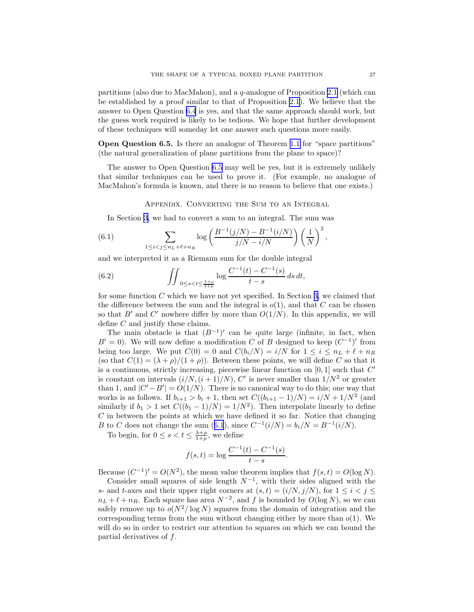<span id="page-26-0"></span>partitions (also due to MacMahon), and a q-analogue of Proposition [2.1](#page-9-0) (which can be established by a proof similar to that of Proposition [2.1\)](#page-9-0). We believe that the answer to Open Question [6.4](#page-25-0) is yes, and that the same approach should work, but the guess work required is likely to be tedious. We hope that further development of these techniques will someday let one answer such questions more easily.

Open Question 6.5. Is there an analogue of Theorem [1.1](#page-4-0) for "space partitions" (the natural generalization of plane partitions from the plane to space)?

The answer to Open Question 6.5 may well be yes, but it is extremely unlikely that similar techniques can be used to prove it. (For example, no analogue of MacMahon's formula is known, and there is no reason to believe that one exists.)

Appendix. Converting the Sum to an Integral

In Section [3](#page-12-0), we had to convert a sum to an integral. The sum was

(6.1) 
$$
\sum_{1 \le i < j \le n_L + \ell + n_R} \log \left( \frac{B^{-1}(j/N) - B^{-1}(i/N)}{j/N - i/N} \right) \left( \frac{1}{N} \right)^2,
$$

and we interpreted it as a Riemann sum for the double integral

(6.2) 
$$
\iint_{0 \le s < t \le \frac{\lambda + \rho}{1 + \rho}} \log \frac{C^{-1}(t) - C^{-1}(s)}{t - s} ds dt,
$$

for some function C which we have not yet specified. In Section [3,](#page-12-0) we claimed that the difference between the sum and the integral is  $o(1)$ , and that C can be chosen so that  $B'$  and  $C'$  nowhere differ by more than  $O(1/N)$ . In this appendix, we will define C and justify these claims.

The main obstacle is that  $(B^{-1})'$  can be quite large (infinite, in fact, when  $B' = 0$ ). We will now define a modification C of B designed to keep  $(C^{-1})'$  from being too large. We put  $C(0) = 0$  and  $C(b_i/N) = i/N$  for  $1 \le i \le n_L + \ell + n_R$ (so that  $C(1) = (\lambda + \rho)/(1 + \rho)$ ). Between these points, we will define C so that it is a continuous, strictly increasing, piecewise linear function on  $[0,1]$  such that  $C'$ is constant on intervals  $(i/N, (i+1)/N)$ , C' is never smaller than  $1/N^2$  or greater than 1, and  $|C' - B'| = O(1/N)$ . There is no canonical way to do this; one way that works is as follows. If  $b_{i+1} > b_i + 1$ , then set  $C((b_{i+1}-1)/N) = i/N + 1/N^2$  (and similarly if  $b_1 > 1$  set  $C((b_1 - 1)/N) = 1/N^2$ . Then interpolate linearly to define  $C$  in between the points at which we have defined it so far. Notice that changing *B* to *C* does not change the sum (6.1), since  $C^{-1}(i/N) = b_i/N = B^{-1}(i/N)$ .

To begin, for  $0 \leq s < t \leq \frac{\lambda + \rho}{1 + \rho}$ , we define

$$
f(s,t) = \log \frac{C^{-1}(t) - C^{-1}(s)}{t - s}.
$$

Because  $(C^{-1})' = O(N^2)$ , the mean value theorem implies that  $f(s, t) = O(\log N)$ .

Consider small squares of side length  $N^{-1}$ , with their sides aligned with the s- and t-axes and their upper right corners at  $(s,t) = (i/N, j/N)$ , for  $1 \le i < j \le k$  $n_L + \ell + n_R$ . Each square has area  $N^{-2}$ , and f is bounded by  $O(\log N)$ , so we can safely remove up to  $o(N^2/\log N)$  squares from the domain of integration and the corresponding terms from the sum without changing either by more than  $o(1)$ . We will do so in order to restrict our attention to squares on which we can bound the partial derivatives of f.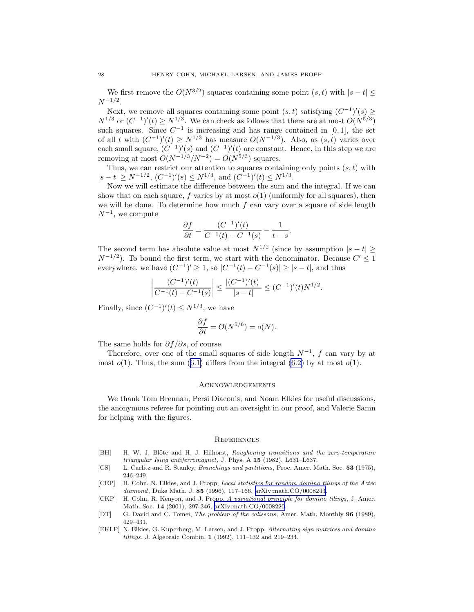<span id="page-27-0"></span>We first remove the  $O(N^{3/2})$  squares containing some point  $(s, t)$  with  $|s - t| \le$  $N^{-1/2}$ .

Next, we remove all squares containing some point  $(s,t)$  satisfying  $(C^{-1})'(s) \ge$  $N^{1/3}$  or  $(C^{-1})'(t) \ge N^{1/3}$ . We can check as follows that there are at most  $O(N^{5/3})$ such squares. Since  $C^{-1}$  is increasing and has range contained in [0, 1], the set of all t with  $(C^{-1})'(t) \ge N^{1/3}$  has measure  $O(N^{-1/3})$ . Also, as  $(s, t)$  varies over each small square,  $(C^{-1})'(s)$  and  $(C^{-1})'(t)$  are constant. Hence, in this step we are removing at most  $O(N^{-1/3}/N^{-2}) = O(N^{5/3})$  squares.

Thus, we can restrict our attention to squares containing only points  $(s, t)$  with  $|s-t| \ge N^{-1/2}, (C^{-1})'(s) \le N^{1/3}, \text{ and } (C^{-1})'(t) \le N^{1/3}.$ 

Now we will estimate the difference between the sum and the integral. If we can show that on each square, f varies by at most  $o(1)$  (uniformly for all squares), then we will be done. To determine how much  $f$  can vary over a square of side length  $N^{-1}$ , we compute

$$
\frac{\partial f}{\partial t} = \frac{(C^{-1})'(t)}{C^{-1}(t) - C^{-1}(s)} - \frac{1}{t - s}.
$$

The second term has absolute value at most  $N^{1/2}$  (since by assumption  $|s-t| \geq$  $N^{-1/2}$ ). To bound the first term, we start with the denominator. Because  $C' \leq 1$ everywhere, we have  $(C^{-1})' \ge 1$ , so  $|C^{-1}(t) - C^{-1}(s)| \ge |s - t|$ , and thus

$$
\left|\frac{(C^{-1})'(t)}{C^{-1}(t) - C^{-1}(s)}\right| \le \frac{|(C^{-1})'(t)|}{|s - t|} \le (C^{-1})'(t)N^{1/2}.
$$

Finally, since  $(C^{-1})'(t) \le N^{1/3}$ , we have

$$
\frac{\partial f}{\partial t} = O(N^{5/6}) = o(N).
$$

The same holds for  $\partial f/\partial s$ , of course.

Therefore, over one of the small squares of side length  $N^{-1}$ , f can vary by at most $o(1)$ . Thus, the sum ([6.1\)](#page-26-0) differs from the integral [\(6.2](#page-26-0)) by at most  $o(1)$ .

### Acknowledgements

We thank Tom Brennan, Persi Diaconis, and Noam Elkies for useful discussions, the anonymous referee for pointing out an oversight in our proof, and Valerie Samn for helping with the figures.

#### **REFERENCES**

- [BH] H. W. J. Blöte and H. J. Hilhorst, *Roughening transitions and the zero-temperature triangular Ising antiferromagnet*, J. Phys. A 15 (1982), L631–L637.
- [CS] L. Carlitz and R. Stanley, *Branchings and partitions*, Proc. Amer. Math. Soc. 53 (1975), 246–249.
- [CEP] H. Cohn, N. Elkies, and J. Propp, *Local statistics for random domino tilings of the Aztec diamond*, Duke Math. J. 85 (1996), 117–166, [arXiv:math.CO/0008243.](http://arxiv.org/abs/math/0008243)
- [CKP] H. Cohn, R. Kenyon, and J. Propp, *A variational principle for domino tilings*, J. Amer. Math. Soc. 14 (2001), 297-346, [arXiv:math.CO/0008220](http://arxiv.org/abs/math/0008220).
- [DT] G. David and C. Tomei, *The problem of the calissons*, Amer. Math. Monthly 96 (1989), 429–431.
- [EKLP] N. Elkies, G. Kuperberg, M. Larsen, and J. Propp, *Alternating sign matrices and domino tilings*, J. Algebraic Combin. 1 (1992), 111–132 and 219–234.